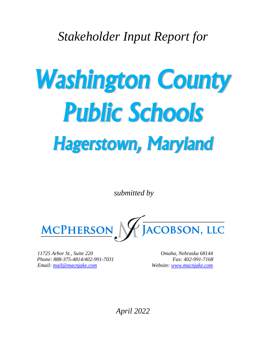*Stakeholder Input Report for*

# *Washington County Public Schools Hagerstown, Maryland*

*submitted by*



*11725 Arbor St., Suite 220 Omaha, Nebraska 68144 Phone: 888-375-4814/402-991-7031 Fax: 402-991-7168 Email: [mail@macnjake.com](mailto:mail@macnjake.com) Website: [www.macnjake.com](http://www.macnjake.com/)*

*April 2022*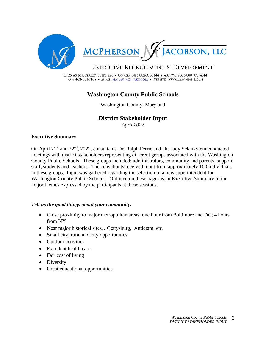

11725 ARBOR STREET, SUITE 220 · OMAHA, NEBRASKA 68144 · 402-991-7031/888-375-4814 FAX: 402-991-7168 • EMAIL: MAIL@MACNJAKE.COM • WEBSITE: WWW.MACNJAKE.COM

# **Washington County Public Schools**

Washington County, Maryland

# **District Stakeholder Input**

*April 2022*

#### **Executive Summary**

On April 21<sup>st</sup> and 22<sup>nd</sup>, 2022, consultants Dr. Ralph Ferrie and Dr. Judy Sclair-Stein conducted meetings with district stakeholders representing different groups associated with the Washington County Public Schools. These groups included: administrators, community and parents, support staff, students and teachers. The consultants received input from approximately 100 individuals in these groups. Input was gathered regarding the selection of a new superintendent for Washington County Public Schools. Outlined on these pages is an Executive Summary of the major themes expressed by the participants at these sessions.

#### *Tell us the good things about your community.*

- Close proximity to major metropolitan areas: one hour from Baltimore and DC; 4 hours from NY
- Near major historical sites...Gettysburg, Antietam, etc.
- Small city, rural and city opportunities
- Outdoor activities
- Excellent health care
- Fair cost of living
- Diversity
- Great educational opportunities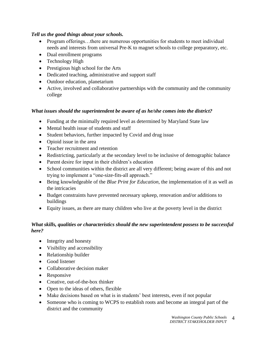# *Tell us the good things about your schools.*

- Program offerings…there are numerous opportunities for students to meet individual needs and interests from universal Pre-K to magnet schools to college preparatory, etc.
- Dual enrollment programs
- Technology High
- Prestigious high school for the Arts
- Dedicated teaching, administrative and support staff
- Outdoor education, planetarium
- Active, involved and collaborative partnerships with the community and the community college

# *What issues should the superintendent be aware of as he/she comes into the district?*

- Funding at the minimally required level as determined by Maryland State law
- Mental health issue of students and staff
- Student behaviors, further impacted by Covid and drug issue
- Opioid issue in the area
- Teacher recruitment and retention
- Redistricting, particularly at the secondary level to be inclusive of demographic balance
- Parent desire for input in their children's education
- School communities within the district are all very different; being aware of this and not trying to implement a "one-size-fits-all approach."
- Being knowledgeable of the *Blue Print for Education*, the implementation of it as well as the intricacies
- Budget constraints have prevented necessary upkeep, renovation and/or additions to buildings
- Equity issues, as there are many children who live at the poverty level in the district

# *What skills, qualities or characteristics should the new superintendent possess to be successful here?*

- Integrity and honesty
- Visibility and accessibility
- Relationship builder
- Good listener
- Collaborative decision maker
- Responsive
- Creative, out-of-the-box thinker
- Open to the ideas of others, flexible
- Make decisions based on what is in students' best interests, even if not popular
- Someone who is coming to WCPS to establish roots and become an integral part of the district and the community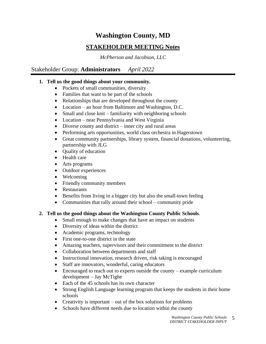# **Washington County, MD STAKEHOLDER MEETING Notes**

*McPherson and Jacobson, LLC*

# Stakeholder Group: **Administrators** *April 2022*

# **1. Tell us the good things about your community.**

- Pockets of small communities, diversity
- Families that want to be part of the schools
- Relationships that are developed throughout the county
- Location an hour from Baltimore and Washington, D.C.
- Small and close knit familiarity with neighboring schools
- Location near Pennsylvania and West Virginia
- Diverse county and district inner city and rural areas
- Performing arts opportunities, world class orchestra in Hagerstown
- Great community partnerships, library system, financial donations, volunteering, partnership with JLG
- Ouality of education
- Health care
- Arts programs
- Outdoor experiences
- Welcoming
- Friendly community members
- Restaurants
- Benefits from living in a bigger city but also the small-town feeling
- Communities that rally around their school community pride

#### **2. Tell us the good things about the Washington County Public Schools**.

- Small enough to make changes that have an impact on students
- Diversity of ideas within the district
- Academic programs, technology
- First one-to-one district in the state
- Amazing teachers, supervisors and their commitment to the district
- Collaboration between departments and staff
- Instructional innovation, research driven, risk taking is encouraged
- Staff are innovators, wonderful, caring educators
- Encouraged to reach out to experts outside the county example curriculum development – Jay McTighe
- Each of the 45 schools has its own character
- Strong English Language learning program that keeps the students in their home schools
- Creativity is important out of the box solutions for problems
- Schools have different needs due to location within the county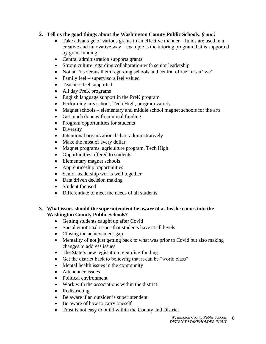# **2. Tell us the good things about the Washington County Public Schools**. *(cont.)*

- Take advantage of various grants in an effective manner funds are used in a creative and innovative way – example is the tutoring program that is supported by grant funding
- Central administration supports grants
- Strong culture regarding collaboration with senior leadership
- Not an "us versus them regarding schools and central office" it's a "we"
- Family feel supervisors feel valued
- Teachers feel supported
- All day PreK programs
- English language support in the PreK program
- Performing arts school, Tech High, program variety
- Magnet schools elementary and middle school magnet schools for the arts
- Get much done with minimal funding
- Program opportunities for students
- Diversity
- Intentional organizational chart administratively
- Make the most of every dollar
- Magnet programs, agriculture program, Tech High
- Opportunities offered to students
- Elementary magnet schools
- Apprenticeship opportunities
- Senior leadership works well together
- Data driven decision making
- Student focused
- Differentiate to meet the needs of all students

#### **3. What issues should the superintendent be aware of as he/she comes into the Washington County Public Schools?**

- Getting students caught up after Covid
- Social emotional issues that students have at all levels
- Closing the achievement gap
- Mentality of not just getting back to what was prior to Covid but also making changes to address issues
- The State's new legislation regarding funding
- Get the district back to believing that it can be "world class"
- Mental health issues in the community
- Attendance issues
- Political environment
- Work with the associations within the district
- Redistricting
- Be aware if an outsider is superintendent
- Be aware of how to carry oneself
- Trust is not easy to build within the County and District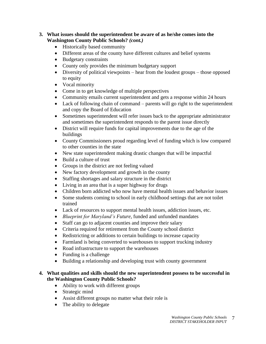#### **3. What issues should the superintendent be aware of as he/she comes into the Washington County Public Schools?** *(cont.)*

- Historically based community
- Different areas of the county have different cultures and belief systems
- Budgetary constraints
- County only provides the minimum budgetary support
- Diversity of political viewpoints hear from the loudest groups those opposed to equity
- Vocal minority
- Come in to get knowledge of multiple perspectives
- Community emails current superintendent and gets a response within 24 hours
- Lack of following chain of command parents will go right to the superintendent and copy the Board of Education
- Sometimes superintendent will refer issues back to the appropriate administrator and sometimes the superintendent responds to the parent issue directly
- District will require funds for capital improvements due to the age of the buildings
- County Commissioners proud regarding level of funding which is low compared to other counties in the state
- New state superintendent making drastic changes that will be impactful
- Build a culture of trust
- Groups in the district are not feeling valued
- New factory development and growth in the county
- Staffing shortages and salary structure in the district
- Living in an area that is a super highway for drugs
- Children born addicted who now have mental health issues and behavior issues
- Some students coming to school in early childhood settings that are not toilet trained
- Lack of resources to support mental health issues, addiction issues, etc.
- *Blueprint for Maryland's Future*, funded and unfunded mandates
- Staff can go to adjacent counties and improve their salary
- Criteria required for retirement from the County school district
- Redistricting or additions to certain buildings to increase capacity
- Farmland is being converted to warehouses to support trucking industry
- Road infrastructure to support the warehouses
- Funding is a challenge
- Building a relationship and developing trust with county government

#### **4. What qualities and skills should the new superintendent possess to be successful in the Washington County Public Schools?**

- Ability to work with different groups
- Strategic mind
- Assist different groups no matter what their role is
- The ability to delegate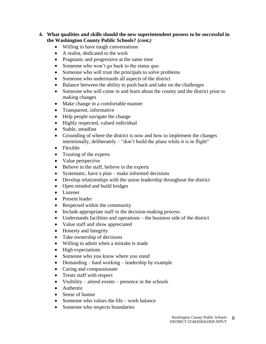#### **4. What qualities and skills should the new superintendent possess to be successful in the Washington County Public Schools?** *(cont.)*

- Willing to have tough conversations
- A realist, dedicated to the work
- Pragmatic and progressive at the same time
- Someone who won't go back to the status quo
- Someone who will trust the principals to solve problems
- Someone who understands all aspects of the district
- Balance between the ability to push back and take on the challenges
- Someone who will come in and learn about the county and the district prior to making changes
- Make change in a comfortable manner
- Transparent, informative
- Help people navigate the change
- Highly respected, valued individual
- Stable, steadfast
- Grounding of where the district is now and how to implement the changes intentionally, deliberately – "don't build the plane while it is in flight"
- Flexible
- Trusting of the experts
- Value perspective
- Believe in the staff, believe in the experts
- Systematic, have a plan make informed decisions
- Develop relationships with the union leadership throughout the district
- Open minded and build bridges
- Listener
- Present leader
- Respected within the community
- Include appropriate staff in the decision-making process
- Understands facilities and operations the business side of the district
- Value staff and show appreciated
- Honesty and Integrity
- Take ownership of decisions
- Willing to admit when a mistake is made
- High expectations
- Someone who you know where you stand
- Demanding hard working leadership by example
- Caring and compassionate
- Treats staff with respect
- Visibility attend events presence in the schools
- Authentic
- Sense of humor
- Someone who values the life work balance
- Someone who respects boundaries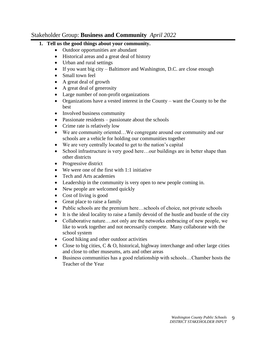# Stakeholder Group: **Business and Community** *April 2022*

# **1. Tell us the good things about your community.**

- Outdoor opportunities are abundant
- Historical areas and a great deal of history
- Urban and rural settings
- If you want big city Baltimore and Washington, D.C. are close enough
- Small town feel
- A great deal of growth
- A great deal of generosity
- Large number of non-profit organizations
- Organizations have a vested interest in the County want the County to be the best
- Involved business community
- Passionate residents passionate about the schools
- Crime rate is relatively low
- We are community oriented...We congregate around our community and our schools are a vehicle for holding our communities together
- We are very centrally located to get to the nation's capital
- School infrastructure is very good here...our buildings are in better shape than other districts
- Progressive district
- We were one of the first with 1:1 initiative
- Tech and Arts academies
- Leadership in the community is very open to new people coming in.
- New people are welcomed quickly
- Cost of living is good
- Great place to raise a family
- Public schools are the premium here...schools of choice, not private schools
- It is the ideal locality to raise a family devoid of the hustle and bustle of the city
- Collaborative nature....not only are the networks embracing of new people, we like to work together and not necessarily compete. Many collaborate with the school system
- Good hiking and other outdoor activities
- Close to big cities,  $C & O$ , historical, highway interchange and other large cities and close to other museums, arts and other areas
- Business communities has a good relationship with schools…Chamber hosts the Teacher of the Year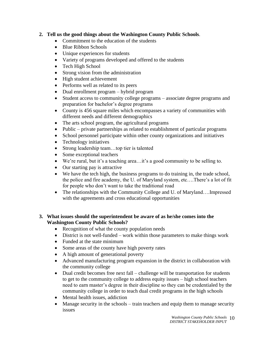# **2. Tell us the good things about the Washington County Public Schools**.

- Commitment to the education of the students
- Blue Ribbon Schools
- Unique experiences for students
- Variety of programs developed and offered to the students
- Tech High School
- Strong vision from the administration
- High student achievement
- Performs well as related to its peers
- Dual enrollment program hybrid program
- Student access to community college programs associate degree programs and preparation for bachelor's degree programs
- County is 456 square miles which encompasses a variety of communities with different needs and different demographics
- The arts school program, the agricultural programs
- Public private partnerships as related to establishment of particular programs
- School personnel participate within other county organizations and initiatives
- Technology initiatives
- Strong leadership team...top tier is talented
- Some exceptional teachers
- We're rural, but it's a teaching area...it's a good community to be selling to.
- Our starting pay is attractive
- We have the tech high, the business programs to do training in, the trade school, the police and fire academy, the U. of Maryland system, etc….There's a lot of fit for people who don't want to take the traditional road
- The relationships with the Community College and U. of Maryland....Impressed with the agreements and cross educational opportunities

# **3. What issues should the superintendent be aware of as he/she comes into the Washington County Public Schools?**

- Recognition of what the county population needs
- District is not well-funded work within those parameters to make things work
- Funded at the state minimum
- Some areas of the county have high poverty rates
- A high amount of generational poverty
- Advanced manufacturing program expansion in the district in collaboration with the community college
- Dual credit becomes free next fall challenge will be transportation for students to get to the community college to address equity issues – high school teachers need to earn master's degree in their discipline so they can be credentialed by the community college in order to teach dual credit programs in the high schools
- Mental health issues, addiction
- Manage security in the schools train teachers and equip them to manage security issues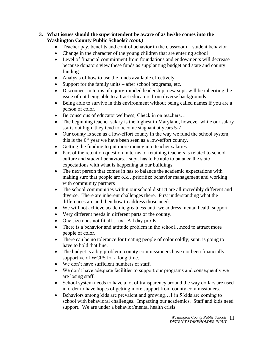#### **3. What issues should the superintendent be aware of as he/she comes into the Washington County Public Schools?** *(cont.)*

- Teacher pay, benefits and control behavior in the classroom student behavior
- Change in the character of the young children that are entering school
- Level of financial commitment from foundations and endowments will decrease because donators view these funds as supplanting budget and state and county funding
- Analysis of how to use the funds available effectively
- Support for the family units after school programs, etc.
- Disconnect in terms of equity-minded leadership; new supt. will be inheriting the issue of not being able to attract educators from diverse backgrounds
- Being able to survive in this environment without being called names if you are a person of color.
- Be conscious of educator wellness; Check in on teachers...
- The beginning teacher salary is the highest in Maryland, however while our salary starts out high, they tend to become stagnant at years 5-7
- Our county is seen as a low-effort county in the way we fund the school system; this is the  $6<sup>th</sup>$  year we have been seen as a low-effort county.
- Getting the funding to put more money into teacher salaries
- Part of the retention question in terms of retaining teachers is related to school culture and student behaviors…supt. has to be able to balance the state expectations with what is happening at our buildings
- The next person that comes in has to balance the academic expectations with making sure that people are o.k…prioritize behavior management and working with community partners
- The school communities within our school district are all incredibly different and diverse. There are inherent challenges there. First understanding what the differences are and then how to address those needs.
- We will not achieve academic greatness until we address mental health support
- Very different needs in different parts of the county.
- One size does not fit all....ex: All day pre-K
- There is a behavior and attitude problem in the school... need to attract more people of color.
- There can be no tolerance for treating people of color coldly; supt. is going to have to hold that line.
- The budget is a big problem; county commissioners have not been financially supportive of WCPS for a long time.
- We don't have sufficient numbers of staff.
- We don't have adequate facilities to support our programs and consequently we are losing staff.
- School system needs to have a lot of transparency around the way dollars are used in order to have hopes of getting more support from county commissioners.
- Behaviors among kids are prevalent and growing...1 in 5 kids are coming to school with behavioral challenges. Impacting our academics. Staff and kids need support. We are under a behavior/mental health crisis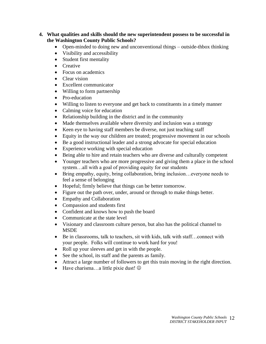#### **4. What qualities and skills should the new superintendent possess to be successful in the Washington County Public Schools?**

- Open-minded to doing new and unconventional things outside-thbox thinking
- Visibility and accessibility
- Student first mentality
- Creative
- Focus on academics
- Clear vision
- Excellent communicator
- Willing to form partnership
- Pro-education
- Willing to listen to everyone and get back to constituents in a timely manner
- Calming voice for education
- Relationship building in the district and in the community
- Made themselves available where diversity and inclusion was a strategy
- Keen eye to having staff members be diverse, not just teaching staff
- Equity in the way our children are treated; progressive movement in our schools
- Be a good instructional leader and a strong advocate for special education
- Experience working with special education
- Being able to hire and retain teachers who are diverse and culturally competent
- Younger teachers who are more progressive and giving them a place in the school system…all with a goal of providing equity for our students
- Bring empathy, equity, bring collaboration, bring inclusion…everyone needs to feel a sense of belonging
- Hopeful; firmly believe that things can be better tomorrow.
- Figure out the path over, under, around or through to make things better.
- Empathy and Collaboration
- Compassion and students first
- Confident and knows how to push the board
- Communicate at the state level
- Visionary and classroom culture person, but also has the political channel to MSDE
- Be in classrooms, talk to teachers, sit with kids, talk with staff...connect with your people. Folks will continue to work hard for you!
- Roll up your sleeves and get in with the people.
- See the school, its staff and the parents as family.
- Attract a large number of followers to get this train moving in the right direction.
- Have charisma...a little pixie dust!  $\odot$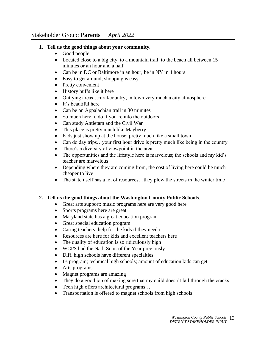# **1. Tell us the good things about your community.**

- Good people
- Located close to a big city, to a mountain trail, to the beach all between 15 minutes or an hour and a half
- Can be in DC or Baltimore in an hour; be in NY in 4 hours
- Easy to get around; shopping is easy
- Pretty convenient
- History buffs like it here
- Outlying areas...rural/country; in town very much a city atmosphere
- It's beautiful here
- Can be on Appalachian trail in 30 minutes
- So much here to do if you're into the outdoors
- Can study Antietam and the Civil War
- This place is pretty much like Mayberry
- Kids just show up at the house; pretty much like a small town
- Can do day trips...your first hour drive is pretty much like being in the country
- There's a diversity of viewpoint in the area
- The opportunities and the lifestyle here is marvelous; the schools and my kid's teacher are marvelous
- Depending where they are coming from, the cost of living here could be much cheaper to live
- The state itself has a lot of resources...they plow the streets in the winter time

# **2. Tell us the good things about the Washington County Public Schools**.

- Great arts support; music programs here are very good here
- Sports programs here are great
- Maryland state has a great education program
- Great special education program
- Caring teachers; help for the kids if they need it
- Resources are here for kids and excellent teachers here
- The quality of education is so ridiculously high
- WCPS had the Natl. Supt. of the Year previously
- Diff. high schools have different specialties
- IB program; technical high schools; amount of education kids can get
- Arts programs
- Magnet programs are amazing
- They do a good job of making sure that my child doesn't fall through the cracks
- Tech high offers architectural programs....
- Transportation is offered to magnet schools from high schools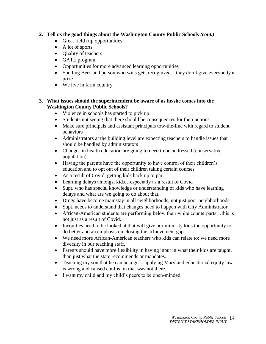- **2. Tell us the good things about the Washington County Public Schools** *(cont.)*
	- Great field trip opportunities
	- A lot of sports
	- Quality of teachers
	- GATE program
	- Opportunities for more advanced learning opportunities
	- Spelling Bees and person who wins gets recognized...they don't give everybody a prize
	- We live in farm country

#### **3. What issues should the superintendent be aware of as he/she comes into the Washington County Public Schools?**

- Violence in schools has started to pick up
- Students not seeing that there should be consequences for their actions
- Make sure principals and assistant principals tow-the-line with regard to student behaviors
- Administrators at the building level are expecting teachers to handle issues that should be handled by administrators
- Changes in health education are going to need to be addressed (conservative population)
- Having the parents have the opportunity to have control of their children's education and to opt out of their children taking certain courses
- As a result of Covid, getting kids back up to par.
- Learning delays amongst kids...especially as a result of Covid
- Supt. who has special knowledge or understanding of kids who have learning delays and what are we going to do about that.
- Drugs have become mainstay in all neighborhoods, not just poor neighborhoods
- Supt. needs to understand that changes need to happen with City Administrator
- African-American students are performing below their white counterparts...this is not just as a result of Covid.
- Inequities need to be looked at that will give our minority kids the opportunity to do better and an emphasis on closing the achievement gap.
- We need more African-American teachers who kids can relate to; we need more diversity in our teaching staff.
- Parents should have more flexibility in having input in what their kids are taught, than just what the state recommends or mandates.
- Teaching my son that he can be a girl...applying Maryland educational equity law is wrong and caused confusion that was not there.
- I want my child and my child's peers to be open-minded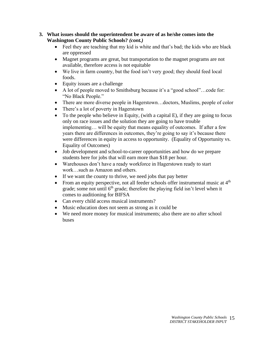#### **3. What issues should the superintendent be aware of as he/she comes into the Washington County Public Schools?** *(cont.)*

- Feel they are teaching that my kid is white and that's bad; the kids who are black are oppressed
- Magnet programs are great, but transportation to the magnet programs are not available, therefore access is not equitable
- We live in farm country, but the food isn't very good; they should feed local foods.
- Equity issues are a challenge
- A lot of people moved to Smithsburg because it's a "good school"...code for: "No Black People."
- There are more diverse people in Hagerstown...doctors, Muslims, people of color
- There's a lot of poverty in Hagerstown
- To the people who believe in Equity, (with a capital  $E$ ), if they are going to focus only on race issues and the solution they are going to have trouble implementing… will be equity that means equality of outcomes. If after a few years there are differences in outcomes, they're going to say it's because there were differences in equity in access to opportunity. (Equality of Opportunity vs. Equality of Outcomes)
- Job development and school-to-career opportunities and how do we prepare students here for jobs that will earn more than \$18 per hour.
- Warehouses don't have a ready workforce in Hagerstown ready to start work…such as Amazon and others.
- If we want the county to thrive, we need jobs that pay better
- From an equity perspective, not all feeder schools offer instrumental music at  $4<sup>th</sup>$ grade; some not until  $6<sup>th</sup>$  grade; therefore the playing field isn't level when it comes to auditioning for BIFSA
- Can every child access musical instruments?
- Music education does not seem as strong as it could be
- We need more money for musical instruments; also there are no after school buses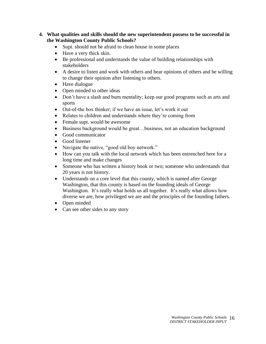- **4. What qualities and skills should the new superintendent possess to be successful in the Washington County Public Schools?**
	- Supt. should not be afraid to clean house in some places
	- Have a very thick skin.
	- Be professional and understands the value of building relationships with stakeholders
	- A desire to listen and work with others and hear opinions of others and be willing to change their opinion after listening to others.
	- Have dialogue
	- Open minded to other ideas
	- Don't have a slash and burn mentality; keep our good programs such as arts and sports
	- Out-of-the box thinker; if we have an issue, let's work it out
	- Relates to children and understands where they're coming from
	- Female supt. would be awesome
	- Business background would be great...business, not an education background
	- Good communicator
	- Good listener
	- Navigate the native, "good old boy network."
	- How can you talk with the local network which has been entrenched here for a long time and make changes
	- Someone who has written a history book or two; someone who understands that 20 years is not history.
	- Understands on a core level that this county, which is named after George Washington, that this county is based on the founding ideals of George Washington. It's really what holds us all together. It's really what allows how diverse we are, how privileged we are and the principles of the founding fathers.
	- Open minded
	- Can see other sides to any story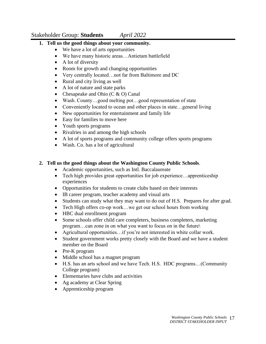# Stakeholder Group: **Students** *April 2022*

# **1. Tell us the good things about your community.**

- We have a lot of arts opportunities
- We have many historic areas…Antietam battlefield
- A lot of diversity
- Room for growth and changing opportunities
- Very centrally located…not far from Baltimore and DC
- Rural and city living as well
- A lot of nature and state parks
- Chesapeake and Ohio  $(C & O)$  Canal
- Wash. County...good melting pot...good representation of state
- Conveniently located to ocean and other places in state...general living
- New opportunities for entertainment and family life
- Easy for families to move here
- Youth sports programs
- Rivalries in and among the high schools
- A lot of sports programs and community college offers sports programs
- Wash. Co. has a lot of agricultural

# **2. Tell us the good things about the Washington County Public Schools**.

- Academic opportunities, such as Intl. Baccalaureate
- Tech high provides great opportunities for job experience...apprenticeship experiences
- Opportunities for students to create clubs based on their interests
- IB career program, teacher academy and visual arts
- Students can study what they may want to do out of H.S. Prepares for after grad.
- Tech High offers co-op work...we get our school hours from working
- HBC dual enrollment program
- Some schools offer child care completers, business completers, marketing program…can zone in on what you want to focus on in the future\
- Agricultural opportunities...if you're not interested in white collar work.
- Student government works pretty closely with the Board and we have a student member on the Board
- Pre-K program
- Middle school has a magnet program
- H.S. has an arts school and we have Tech. H.S. HDC programs…(Community College program)
- Elementaries have clubs and activities
- Ag academy at Clear Spring
- Apprenticeship program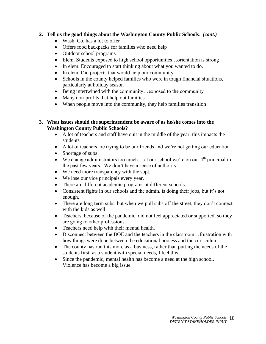#### **2. Tell us the good things about the Washington County Public Schools**. *(cont.)*

- Wash. Co. has a lot to offer
- Offers food backpacks for families who need help
- Outdoor school programs
- Elem. Students exposed to high school opportunities...orientation is strong
- In elem. Encouraged to start thinking about what you wanted to do.
- In elem. Did projects that would help our community
- Schools in the county helped families who were in tough financial situations, particularly at holiday season
- Being intertwined with the community... exposed to the community
- Many non-profits that help out families
- When people move into the community, they help families transition

#### **3. What issues should the superintendent be aware of as he/she comes into the Washington County Public Schools?**

- A lot of teachers and staff have quit in the middle of the year; this impacts the students
- A lot of teachers are trying to be our friends and we're not getting our education
- Shortage of subs
- We change administrators too much....at our school we're on our  $4<sup>th</sup>$  principal in the past few years. We don't have a sense of authority.
- We need more transparency with the supt.
- We lose our vice principals every year.
- There are different academic programs at different schools.
- Consistent fights in our schools and the admin. is doing their jobs, but it's not enough.
- There are long term subs, but when we pull subs off the street, they don't connect with the kids as well
- Teachers, because of the pandemic, did not feel appreciated or supported, so they are going to other professions.
- Teachers need help with their mental health.
- Disconnect between the BOE and the teachers in the classroom...frustration with how things were done between the educational process and the curriculum
- The county has run this more as a business, rather than putting the needs of the students first; as a student with special needs, I feel this.
- Since the pandemic, mental health has become a need at the high school. Violence has become a big issue.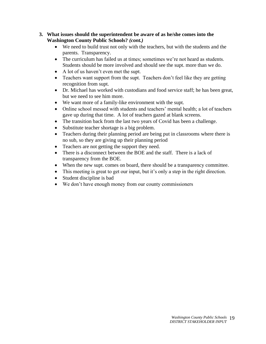#### **3. What issues should the superintendent be aware of as he/she comes into the Washington County Public Schools?** *(cont.)*

- We need to build trust not only with the teachers, but with the students and the parents. Transparency.
- The curriculum has failed us at times; sometimes we're not heard as students. Students should be more involved and should see the supt. more than we do.
- A lot of us haven't even met the supt.
- Teachers want support from the supt. Teachers don't feel like they are getting recognition from supt.
- Dr. Michael has worked with custodians and food service staff; he has been great, but we need to see him more.
- We want more of a family-like environment with the supt.
- Online school messed with students and teachers' mental health; a lot of teachers gave up during that time. A lot of teachers gazed at blank screens.
- The transition back from the last two years of Covid has been a challenge.
- Substitute teacher shortage is a big problem.
- Teachers during their planning period are being put in classrooms where there is no sub, so they are giving up their planning period
- Teachers are not getting the support they need.
- There is a disconnect between the BOE and the staff. There is a lack of transparency from the BOE.
- When the new supt. comes on board, there should be a transparency committee.
- This meeting is great to get our input, but it's only a step in the right direction.
- Student discipline is bad
- We don't have enough money from our county commissioners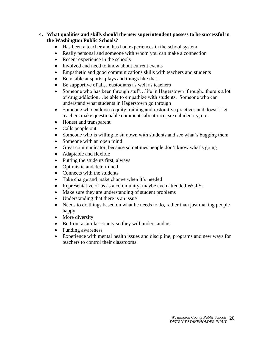#### **4. What qualities and skills should the new superintendent possess to be successful in the Washington Public Schools?**

- Has been a teacher and has had experiences in the school system
- Really personal and someone with whom you can make a connection
- Recent experience in the schools
- Involved and need to know about current events
- Empathetic and good communications skills with teachers and students
- Be visible at sports, plays and things like that.
- Be supportive of all...custodians as well as teachers
- Someone who has been through stuff... life in Hagerstown if rough...there's a lot of drug addiction…be able to empathize with students. Someone who can understand what students in Hagerstown go through
- Someone who endorses equity training and restorative practices and doesn't let teachers make questionable comments about race, sexual identity, etc.
- Honest and transparent
- Calls people out
- Someone who is willing to sit down with students and see what's bugging them
- Someone with an open mind
- Great communicator, because sometimes people don't know what's going
- Adaptable and flexible
- Putting the students first, always
- Optimistic and determined
- Connects with the students
- Take charge and make change when it's needed
- Representative of us as a community; maybe even attended WCPS.
- Make sure they are understanding of student problems
- Understanding that there is an issue
- Needs to do things based on what he needs to do, rather than just making people happy
- More diversity
- Be from a similar county so they will understand us
- Funding awareness
- Experience with mental health issues and discipline; programs and new ways for teachers to control their classrooms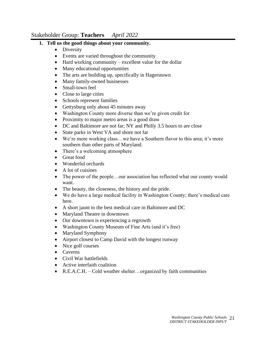# Stakeholder Group: **Teachers** *April 2022*

# **1. Tell us the good things about your community.**

- Diversity
- Events are varied throughout the community
- Hard working community excellent value for the dollar
- Many educational opportunities
- The arts are building up, specifically in Hagerstown
- Many family-owned businesses
- Small-town feel
- Close to large cities
- Schools represent families
- Gettysburg only about 45 minutes away
- Washington County more diverse than we're given credit for
- Proximity to major metro areas is a good draw
- DC and Baltimore are not far; NY and Philly 3.5 hours to are close
- State parks in West VA and shore not far
- We're more working class...we have a Southern flavor to this area; it's more southern than other parts of Maryland.
- There's a welcoming atmosphere
- Great food
- Wonderful orchards
- A lot of cuisines
- The power of the people...our association has reflected what our county would want.
- The beauty, the closeness, the history and the pride.
- We do have a large medical facility in Washington County; there's medical care here.
- A short jaunt to the best medical care in Baltimore and DC
- Maryland Theatre in downtown
- Our downtown is experiencing a regrowth
- Washington County Museum of Fine Arts (and it's free)
- Maryland Symphony
- Airport closest to Camp David with the longest runway
- Nice golf courses
- Caverns
- Civil War battlefields
- Active interfaith coalition
- R.E.A.C.H. Cold weather shelter...organized by faith communities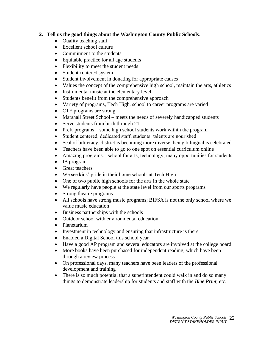# **2. Tell us the good things about the Washington County Public Schools**.

- Ouality teaching staff
- Excellent school culture
- Commitment to the students
- Equitable practice for all age students
- Flexibility to meet the student needs
- Student centered system
- Student involvement in donating for appropriate causes
- Values the concept of the comprehensive high school, maintain the arts, athletics
- Instrumental music at the elementary level
- Students benefit from the comprehensive approach
- Variety of programs, Tech High, school to career programs are varied
- CTE programs are strong
- Marshall Street School meets the needs of severely handicapped students
- Serve students from birth through 21
- PreK programs some high school students work within the program
- Student centered, dedicated staff, students' talents are nourished
- Seal of biliteracy, district is becoming more diverse, being bilingual is celebrated
- Teachers have been able to go to one spot on essential curriculum online
- Amazing programs...school for arts, technology; many opportunities for students
- IB program
- Great teachers
- We see kids' pride in their home schools at Tech High
- One of two public high schools for the arts in the whole state
- We regularly have people at the state level from our sports programs
- Strong theatre programs
- All schools have strong music programs; BIFSA is not the only school where we value music education
- Business partnerships with the schools
- Outdoor school with environmental education
- Planetarium
- Investment in technology and ensuring that infrastructure is there
- Enabled a Digital School this school year
- Have a good AP program and several educators are involved at the college board
- More books have been purchased for independent reading, which have been through a review process
- On professional days, many teachers have been leaders of the professional development and training
- There is so much potential that a superintendent could walk in and do so many things to demonstrate leadership for students and staff with the *Blue Print,* etc.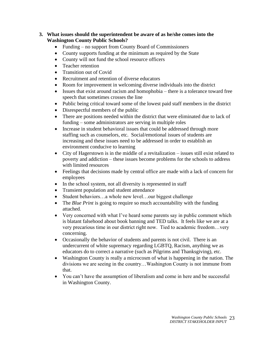#### **3. What issues should the superintendent be aware of as he/she comes into the Washington County Public Schools?**

- Funding no support from County Board of Commissioners
- County supports funding at the minimum as required by the State
- County will not fund the school resource officers
- Teacher retention
- Transition out of Covid
- Recruitment and retention of diverse educators
- Room for improvement in welcoming diverse individuals into the district
- Issues that exist around racism and homophobia there is a tolerance toward free speech that sometimes crosses the line
- Public being critical toward some of the lowest paid staff members in the district
- Disrespectful members of the public
- There are positions needed within the district that were eliminated due to lack of funding – some administrators are serving in multiple roles
- Increase in student behavioral issues that could be addressed through more staffing such as counselors, etc. Social/emotional issues of students are increasing and these issues need to be addressed in order to establish an environment conducive to learning
- City of Hagerstown is in the middle of a revitalization issues still exist related to poverty and addiction – these issues become problems for the schools to address with limited resources
- Feelings that decisions made by central office are made with a lack of concern for employees
- In the school system, not all diversity is represented in staff
- Transient population and student attendance
- Student behaviors...a whole new level...our biggest challenge
- The *Blue Print* is going to require so much accountability with the funding attached.
- Very concerned with what I've heard some parents say in public comment which is blatant falsehood about book banning and TED talks. It feels like we are at a very precarious time in our district right now. Tied to academic freedom…very concerning.
- Occasionally the behavior of students and parents is not civil. There is an undercurrent of white supremacy regarding LGBTQ, Racism, anything we as educators do to correct a narrative (such as Pilgrims and Thanksgiving), etc.
- Washington County is really a microcosm of what is happening in the nation. The divisions we are seeing in the country…Washington County is not immune from that.
- You can't have the assumption of liberalism and come in here and be successful in Washington County.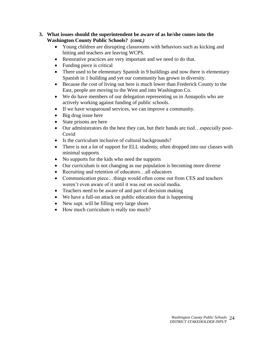#### **3. What issues should the superintendent be aware of as he/she comes into the Washington County Public Schools?** *(cont.)*

- Young children are disrupting classrooms with behaviors such as kicking and hitting and teachers are leaving WCPS.
- Restorative practices are very important and we need to do that.
- Funding piece is critical
- There used to be elementary Spanish in 9 buildings and now there is elementary Spanish in 1 building and yet our community has grown in diversity.
- Because the cost of living out here is much lower than Frederick County to the East, people are moving to the West and into Washington Co.
- We do have members of our delegation representing us in Annapolis who are actively working against funding of public schools.
- If we have wraparound services, we can improve a community.
- Big drug issue here
- State prisons are here
- Our administrators do the best they can, but their hands are tied…especially post-Covid
- Is the curriculum inclusive of cultural backgrounds?
- There is not a lot of support for ELL students; often dropped into our classes with minimal supports
- No supports for the kids who need the supports
- Our curriculum is not changing as our population is becoming more diverse
- Recruiting and retention of educators…all educators
- Communication piece...things would often come out from CES and teachers weren't even aware of it until it was out on social media.
- Teachers need to be aware of and part of decision making
- We have a full-on attack on public education that is happening
- New supt. will be filling very large shoes
- How much curriculum is really too much?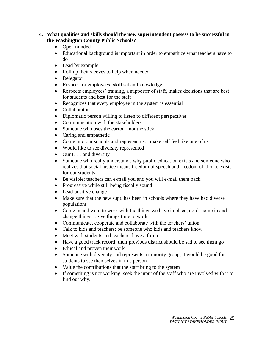#### **4. What qualities and skills should the new superintendent possess to be successful in the Washington County Public Schools?**

- Open minded
- Educational background is important in order to empathize what teachers have to do
- Lead by example
- Roll up their sleeves to help when needed
- Delegator
- Respect for employees' skill set and knowledge
- Respects employees' training, a supporter of staff, makes decisions that are best for students and best for the staff
- Recognizes that every employee in the system is essential
- Collaborator
- Diplomatic person willing to listen to different perspectives
- Communication with the stakeholders
- Someone who uses the carrot not the stick
- Caring and empathetic
- Come into our schools and represent us...make self feel like one of us
- Would like to see diversity represented
- Our ELL and diversity
- Someone who really understands why public education exists and someone who realizes that social justice means freedom of speech and freedom of choice exists for our students
- Be visible; teachers can e-mail you and you will e-mail them back
- Progressive while still being fiscally sound
- Lead positive change
- Make sure that the new supt. has been in schools where they have had diverse populations
- Come in and want to work with the things we have in place; don't come in and change things…give things time to work.
- Communicate, cooperate and collaborate with the teachers' union
- Talk to kids and teachers; be someone who kids and teachers know
- Meet with students and teachers; have a forum
- Have a good track record; their previous district should be sad to see them go
- Ethical and proven their work
- Someone with diversity and represents a minority group; it would be good for students to see themselves in this person
- Value the contributions that the staff bring to the system
- If something is not working, seek the input of the staff who are involved with it to find out why.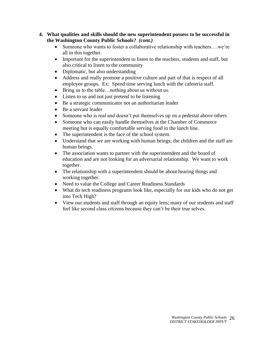- **4. What qualities and skills should the new superintendent possess to be successful in the Washington County Public Schools?** *(cont.)*
	- Someone who wants to foster a collaborative relationship with teachers....we're all in this together.
	- Important for the superintendent to listen to the teachers, students and staff, but also critical to listen to the community
	- Diplomatic, but also understanding
	- Address and really promote a positive culture and part of that is respect of all employee groups. Ex: Spend time serving lunch with the cafeteria staff.
	- Bring us to the table...nothing about us without us.
	- Listen to us and not just pretend to be listening
	- Be a strategic communicator not an authoritarian leader
	- Be a servant leader
	- Someone who is real and doesn't put themselves up on a pedestal above others
	- Someone who can easily handle themselves at the Chamber of Commerce meeting but is equally comfortable serving food in the lunch line.
	- The superintendent is the face of the school system.
	- Understand that we are working with human beings; the children and the staff are human beings.
	- The association wants to partner with the superintendent and the board of education and are not looking for an adversarial relationship. We want to work together.
	- The relationship with a superintendent should be about hearing things and working together.
	- Need to value the College and Career Readiness Standards
	- What do tech readiness programs look like, especially for our kids who do not get into Tech High?
	- View our students and staff through an equity lens; many of our students and staff feel like second class citizens because they can't be their true selves.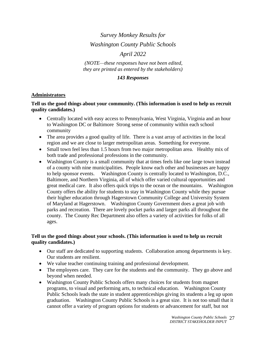# *Survey Monkey Results for Washington County Public Schools April 2022*

*(NOTE—these responses have not been edited, they are printed as entered by the stakeholders)*

#### *143 Responses*

#### **Administrators**

#### **Tell us the good things about your community. (This information is used to help us recruit quality candidates.)**

- Centrally located with easy access to Pennsylvania, West Virginia, Virginia and an hour to Washington DC or Baltimore Strong sense of community within each school community
- The area provides a good quality of life. There is a vast array of activities in the local region and we are close to larger metropolitan areas. Something for everyone.
- Small town feel less than 1.5 hours from two major metropolitan area. Healthy mix of both trade and professional professions in the community.
- Washington County is a small community that at times feels like one large town instead of a county with nine municipalities. People know each other and businesses are happy to help sponsor events. Washington County is centrally located to Washington, D.C., Baltimore, and Northern Virginia, all of which offer varied cultural opportunities and great medical care. It also offers quick trips to the ocean or the mountains. Washington County offers the ability for students to stay in Washington County while they pursue their higher education through Hagerstown Community College and University System of Maryland at Hagerstown. Washington County Government does a great job with parks and recreation. There are lovely pocket parks and larger parks all throughout the county. The County Rec Department also offers a variety of activities for folks of all ages.

#### **Tell us the good things about your schools. (This information is used to help us recruit quality candidates.)**

- Our staff are dedicated to supporting students. Collaboration among departments is key. Our students are resilient.
- We value teacher continuing training and professional development.
- The employees care. They care for the students and the community. They go above and beyond when needed.
- Washington County Public Schools offers many choices for students from magnet programs, to visual and performing arts, to technical education. Washington County Public Schools leads the state in student apprenticeships giving its students a leg up upon graduation. Washington County Public Schools is a great size. It is not too small that it cannot offer a variety of program options for students or advancement for staff, but not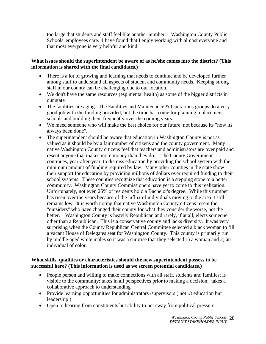too large that students and staff feel like another number. Washington County Public Schools' employees care. I have found that I enjoy working with almost everyone and that most everyone is very helpful and kind.

#### **What issues should the superintendent be aware of as he/she comes into the district? (This information is shared with the final candidates.)**

- There is a lot of growing and learning that needs to continue and be developed further among staff to understand all aspects of student and community needs. Keeping strong staff in our county can be challenging due to our location.
- We don't have the same resources (esp mental health) as some of the bigger districts in our state
- The facilities are aging. The Facilities and Maintenance & Operations groups do a very good job with the funding provided, but the time has come for planning replacement schools and building them frequently over the coming years.
- We meed someone who will make the best choice for our future, not because its "how its" always been done".
- The superintendent should be aware that education in Washington County is not as valued as it should be by a fair number of citizens and the county government. Many native Washington County citizens feel that teachers and administrators are over paid and resent anyone that makes more money than they do. The County Government continues, year-after-year, to dismiss education by providing the school system with the minimum amount of funding required by law. Many other counties in the state show their support for education by providing millions of dollars over required funding to their school systems. These counties recognize that education is a stepping stone to a better community. Washington County Commissioners have yet to come to this realization. Unfortunately, not even 25% of residents hold a Bachelor's degree. While this number has risen over the years because of the influx of individuals moving to the area it still remains low. It is worth noting that native Washington County citizens resent the "outsiders" who have changed their county for what they consider the worse, not the better. Washington County is heavily Republican and rarely, if at all, elects someone other than a Republican. This is a conservative county and lacks diversity. It was very surprising when the County Republican Central Committee selected a black woman to fill a vacant House of Delegates seat for Washington County. This county is primarily run by middle-aged white males so it was a surprise that they selected 1) a woman and 2) an individual of color.

# **What skills, qualities or characteristics should the new superintendent possess to be successful here? (This information is used as we screen potential candidates.)**

- People person and willing to make connections with all staff, students and families; is visible to the community; takes in all perspectives prior to making a decision; takes a collaborative approach to understanding
- Provide learning opportunities for administrators /supervisors ( not r/t education but leadership )
- Open to hearing from constituents but ability to not sway from political pressure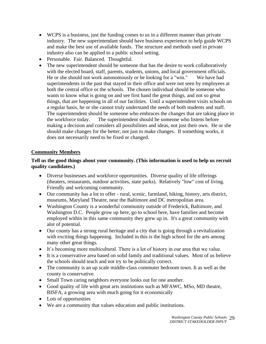- WCPS is a business, just the funding comes to us in a different manner than private industry. The new superintendant should have business experience to help guide WCPS and make the best use of available funds. The structure and methods used in private industry also can be applied to a public school setting.
- Personable. Fair. Balanced. Thoughtful.
- The new superintendent should be someone that has the desire to work collaboratively with the elected board, staff, parents, students, unions, and local government officials. He or she should not work autonomously or be looking for a "win." We have had superintendents in the past that stayed in their office and were not seen by employees at both the central office or the schools. The chosen individual should be someone who wants to know what is going on and see first hand the great things, and not so great things, that are happening in all of our facilities. Until a superintendent visits schools on a regular basis, he or she cannot truly understand the needs of both students and staff. The superintendent should be someone who embraces the changes that are taking place in the workforce today. The superintendent should be someone who listens before making a decision and considers all possibilities and ideas, not just their own. He or she should make changes for the better, not just to make changes. If something works, it does not necessarily need to be fixed or changed.

# **Community Members**

# **Tell us the good things about your community. (This information is used to help us recruit quality candidates.)**

- Diverse businesses and workforce opportunities. Diverse quality of life offerings (theaters, restaurants, outdoor activities, state parks). Relatively "low" cost of living. Friendly and welcoming community.
- Our community has a lot to offer rural, scenic, farmland, hiking, history, arts district, museums, Maryland Theatre, near the Baltimore and DC metropolitan area.
- Washington County is a wonderful community outside of Frederick, Baltimore, and Washington D.C. People grow up here, go to school here, have families and become employed within in this same community they grew up in. It's a great community with alot of potential.
- Our county has a strong rural heritage and a city that is going through a revitalization with exciting things happening. Included in this is the high school for the arts among many other great things.
- It's becoming more multicultural. There is a lot of history in our area that we value.
- It is a conservative area based on solid family and traditional values. Most of us believe the schools should teach and not try to be politically correct.
- The community is an up scale middle-class commuter bedroom town. It as well as the county is conservative.
- Small Town caring neighbors everyone looks out for one another.
- Good quality of life with great arts institutions such as MFAWC, MSo, MD theatre, BISFA, a growing area with much going for it economically
- Lots of opportunities
- We are a community that values education and public institutions.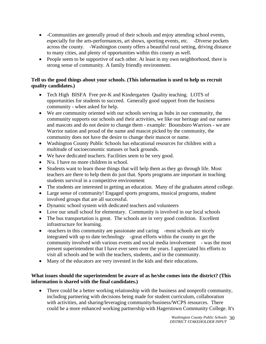- -Communities are generally proud of their schools and enjoy attending school events, especially for the arts-performances, art shows, sporting events, etc. -Diverse pockets across the county. -Washington county offers a beautiful rural setting, driving distance to many cities, and plenty of opportunities within this county as well.
- People seem to be supportive of each other. At least in my own neighborhood, there is strong sense of community. A family friendly environment.

#### **Tell us the good things about your schools. (This information is used to help us recruit quality candidates.)**

- Tech High BISFA Free pre-K and Kindergarten Quality teaching. LOTS of opportunities for students to succeed. Generally good support from the business community - when asked for help.
- We are community oriented with our schools serving as hubs in our community, the community supports our schools and their activities, we like our heritage and our names and mascots and do not desire to change them - example: Boonsboro Warriors - we are Warrior nation and proud of the name and mascot picked by the community, the community does not have the desire to change their mascot or name.
- Washington County Public Schools has educational resources for children with a multitude of socioeconomic statuses or back grounds.
- We have dedicated teachers. Facilities seem to be very good.
- N/a. I have no more children in school.
- Students want to learn those things that will help them as they go through life. Most teachers are there to help them do just that. Sports programs are important in teaching students survival in a competitive environment
- The students are interested in getting an education. Many of the graduates attend college.
- Large sense of community! Engaged sports programs, musical programs, student involved groups that are all successful.
- Dynamic school system with dedicated teachers and volunteers
- Love our small school for elementary. Community is involved in our local schools
- The bus transportation is great. The schools are in very good condition. Excellent infrastructure for learning.
- -teachers in this community are passionate and caring -most schools are nicely integrated with up to date technology -great efforts within the county to get the community involved with various events and social media involvement - was the most present superintendent that I have ever seen over the years. I appreciated his efforts to visit all schools and be with the teachers, students, and in the community.
- Many of the educators are very invested in the kids and their educations.

# **What issues should the superintendent be aware of as he/she comes into the district? (This information is shared with the final candidates.)**

• There could be a better working relationship with the business and nonprofit community, including partnering with decisions being made for student curriculum, collaboration with activities, and sharing/leveraging community/business/WCPS resources. There could be a more enhanced working partnership with Hagerstown Community College. It's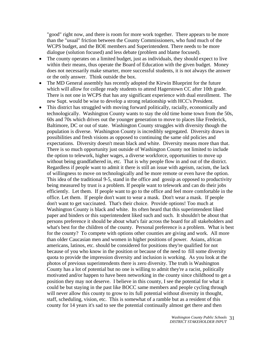"good" right now, and there is room for more work together. There appears to be more than the "usual" friction between the County Commissioners, who fund much of the WCPS budget, and the BOE members and Superintendent. There needs to be more dialogue (solution focused) and less debate (problem and blame focused).

- The county operates on a limited budget, just as individuals, they should expect to live within their means, thus operate the Board of Education with the given budget. Money does not necessarily make smarter, more successful students, it is not always the answer or the only answer. Think outside the box.
- The MD General assembly has recently adopted the Kirwin Blueprint for the future which will allow for college ready students to attend Hagerstown CC after 10th grade. There is not one in WCPS that has any significant experience with dual enrollment. The new Supt. would be wise to develop a strong relationship with HCC's President.
- This district has struggled with moving forward politically, racially, economically and technologically. Washington County wants to stay the old time home town from the 50s, 60s and 70s which drives out the younger generation to move to places like Frederick, Baltimore, DC or out of state. Washington County struggles with diversity though the population is diverse. Washington County is incredibly segregated. Diversity draws in possibilities and fresh visions as opposed to continuing the same old policies and expectations. Diversity doesn't mean black and white. Diversity means more than that. There is so much opportunity just outside of Washington County not limited to include the option to telework, higher wages, a diverse workforce, opportunities to move up without being grandfathered in, etc. That is why people flow in and out of the district. Regardless if people want to admit it there is still an issue with ageism, racism, the lack of willingness to move on technologically and be more remote or even have the option. This idea of the traditional 9-5, stand in the office and gossip as opposed to productivity being measured by trust is a problem. If people want to telework and can do their jobs efficiently. Let them. If people want to go to the office and feel more comfortable in the office. Let them. If people don't want to wear a mask. Don't wear a mask. If people don't want to get vaccinated. That's their choice. Provide options! Too much at Washington County is black and white. Its often heard that this superintendent liked paper and binders or this superintendent liked such and such. It shouldn't be about that persons preference it should be about what's fair across the board for all stakeholders and what's best for the children of the county. Personal preference is a problem. What is best for the county? To compete with options other counties are giving and work. All more than older Caucasian men and women in higher positions of power. Asians, african americans, latinos, etc. should be considered for positions they're qualified for not because of you who know in the position or because of the need to fill some diversity quota to provide the impression diversity and inclusion is working. As you look at the photos of previous superintendents there is zero diversity. The truth is Washington County has a lot of potential but no one is willing to admit they're a racist, politically motivated and/or happen to have been networking in the county since childhood to get a position they may not deserve. I believe in this county, I see the potential for what it could be but staying in the past like BOCC same members and people cycling through will never allow this county to grow to its full potential without diversity in thought, staff, scheduling, vision, etc. This is somewhat of a ramble but as a resident of this county for 14 years it's sad to see the potential continually almost get there and then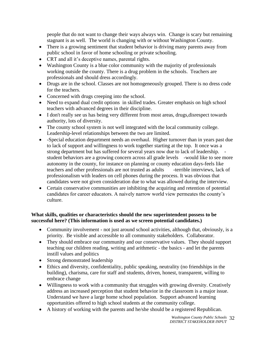people that do not want to change their ways always win. Change is scary but remaining stagnant is as well. The world is changing with or without Washington County.

- There is a growing sentiment that student behavior is driving many parents away from public school in favor of home schooling or private schooling.
- CRT and all it's deceptive names, parental rights.
- Washington County is a blue color community with the majority of professionals working outside the county. There is a drug problem in the schools. Teachers are professionals and should dress accordingly.
- Drugs are in the school. Classes are not homogeneously grouped. There is no dress code for the teachers.
- Concerned with drugs creeping into the school.
- Need to expand dual credit options in skilled trades. Greater emphasis on high school teachers with advanced degrees in their discipline.
- I don't really see us has being very different from most areas, drugs, disrespect towards authority, lots of diversity.
- The county school system is not well integrated with the local community college. Leadership-level relationships between the two are limited.
- -Special education department needs an overhaul. Higher turnover than in years past due to lack of support and willingness to work together starting at the top. It once was a strong department but has suffered for several years now due to lack of leadership. student behaviors are a growing concern across all grade levels -would like to see more autonomy in the county, for instance on planning or county education days-feels like teachers and other professionals are not trusted as adults -terrible interviews, lack of professionalism with leaders on cell phones during the process. It was obvious that candidates were not given consideration due to what was allowed during the interview.
- Certain conservative communities are inhibiting the acquiring and retention of potential candidates for career educators. A naively narrow world view permeates the county's culture.

#### **What skills, qualities or characteristics should the new superintendent possess to be successful here? (This information is used as we screen potential candidates.)**

- Community involvement not just around school activities, although that, obviously, is a priority. Be visible and accessible to all community stakeholders. Collaborator.
- They should embrace our community and our conservative values. They should support teaching our children reading, writing and arithmetic - the basics - and let the parents instill values and politics
- Strong demonstrated leadership
- Ethics and diversity, confidentiality, public speaking, neutrality (no friendships in the building), charisma, care for staff and students, driven, honest, transparent, willing to embrace change
- Willingness to work with a community that struggles with growing diversity. Creatively address an increased perception that student behavior in the classroom is a major issue. Understand we have a large home school population. Support advanced learning opportunities offered to high school students at the community college.
- A history of working with the parents and he/she should be a registered Republican.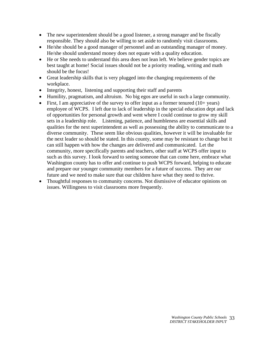- The new superintendent should be a good listener, a strong manager and be fiscally responsible. They should also be willing to set aside to randomly visit classrooms.
- He/she should be a good manager of personnel and an outstanding manager of money. He/she should understand money does not equate with a quality education.
- He or She needs to understand this area does not lean left. We believe gender topics are best taught at home! Social issues should not be a priority reading, writing and math should be the focus!
- Great leadership skills that is very plugged into the changing requirements of the workplace.
- Integrity, honest, listening and supporting their staff and parents
- Humility, pragmatism, and altruism. No big egos are useful in such a large community.
- First, I am appreciative of the survey to offer input as a former tenured  $(10+)$  years) employee of WCPS. I left due to lack of leadership in the special education dept and lack of opportunities for personal growth and went where I could continue to grow my skill sets in a leadership role. Listening, patience, and humbleness are essential skills and qualities for the next superintendent as well as possessing the ability to communicate to a diverse community. These seem like obvious qualities, however it will be invaluable for the next leader so should be stated. In this county, some may be resistant to change but it can still happen with how the changes are delivered and communicated. Let the community, more specifically parents and teachers, other staff at WCPS offer input to such as this survey. I look forward to seeing someone that can come here, embrace what Washington county has to offer and continue to push WCPS forward, helping to educate and prepare our younger community members for a future of success. They are our future and we need to make sure that our children have what they need to thrive.
- Thoughtful responses to community concerns. Not dismissive of educator opinions on issues. Willingness to visit classrooms more frequently.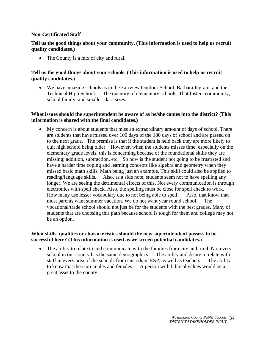#### **Non-Certificated Staff**

#### **Tell us the good things about your community. (This information is used to help us recruit quality candidates.)**

• The County is a mix of city and rural.

#### **Tell us the good things about your schools. (This information is used to help us recruit quality candidates.)**

• We have amazing schools as in the Fairview Outdoor School, Barbara Ingram, and the Technical High School. The quantity of elementary schools. That fosters community, school family, and smaller class sizes.

#### **What issues should the superintendent be aware of as he/she comes into the district? (This information is shared with the final candidates.)**

• My concern is about students that miss an extraordinary amount of days of school. There are students that have missed over 100 days of the 180 days of school and are passed on to the next grade. The premise is that if the student is held back they are more likely to quit high school being older. However, when the students misses time, especially on the elementary grade levels, this is concerning because of the foundational skills they are missing; addition, subtraction, etc. So how is the student not going to be frustrated and have a harder time coping and learning concepts like algebra and geometry when they missed basic math skills. Math being just an example. This skill could also be applied to reading/language skills. Also, as a side note, students seem not to have spelling any longer. We are seeing the detrimental effects of this. Not every communication is through electronics with spell check. Also, the spelling must be close for spell check to work. How many use lesser vocabulary due to not being able to spell. Also, that know that most parents want summer vacation. We do not want year round school. The vocational/trade school should not just be for the students with the best grades. Many of students that are choosing this path because school is tough for them and college may not be an option.

#### **What skills, qualities or characteristics should the new superintendent possess to be successful here? (This information is used as we screen potential candidates.)**

• The ability to relate to and communicate with the families from city and rural. Not every school in our county has the same demographics. The ability and desire to relate with staff in every area of the schools from custodian, ESP, as well as teachers. The ability to know that there are males and females. A person with biblical values would be a great asset to the county.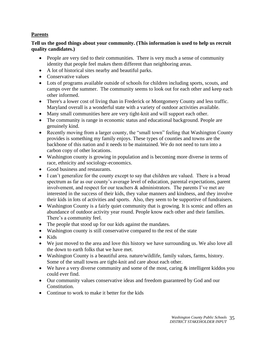# **Parents**

**Tell us the good things about your community. (This information is used to help us recruit quality candidates.)**

- People are very tied to their communities. There is very much a sense of community identity that people feel makes them different than neighboring areas.
- A lot of historical sites nearby and beautiful parks.
- Conservative values
- Lots of programs available outside of schools for children including sports, scouts, and camps over the summer. The community seems to look out for each other and keep each other informed.
- There's a lower cost of living than in Frederick or Montgomery County and less traffic. Maryland overall is a wonderful state with a variety of outdoor activities available.
- Many small communities here are very tight-knit and will support each other.
- The community is range in economic status and educational background. People are genuinely kind.
- Recently moving from a larger county, the "small town" feeling that Washington County provides is something my family enjoys. These types of counties and towns are the backbone of this nation and it needs to be maintained. We do not need to turn into a carbon copy of other locations.
- Washington county is growing in population and is becoming more diverse in terms of race, ethnicity and sociology-economics.
- Good business and restaurants.
- I can't generalize for the county except to say that children are valued. There is a broad spectrum as far as our county's average level of education, parental expectations, parent involvement, and respect for our teachers & administrators. The parents I've met are interested in the success of their kids, they value manners and kindness, and they involve their kids in lots of activities and sports. Also, they seem to be supportive of fundraisers.
- Washington County is a fairly quiet community that is growing. It is scenic and offers an abundance of outdoor activity year round. People know each other and their families. There's a community feel.
- The people that stood up for our kids against the mandates.
- Washington county is still conservative compared to the rest of the state
- Kids
- We just moved to the area and love this history we have surrounding us. We also love all the down to earth folks that we have met.
- Washington County is a beautiful area. nature/wildlife, family values, farms, history. Some of the small towns are tight-knit and care about each other.
- We have a very diverse community and some of the most, caring  $\&$  intelligent kiddos you could ever find.
- Our community values conservative ideas and freedom guaranteed by God and our Constitution.
- Continue to work to make it better for the kids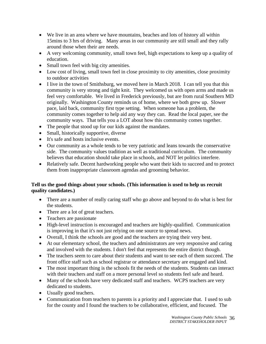- We live in an area where we have mountains, beaches and lots of history all within 15mins to 3 hrs of driving. Many areas in our community are still small and they rally around those when their are needs.
- A very welcoming community, small town feel, high expectations to keep up a quality of education.
- Small town feel with big city amenities.
- Low cost of living, small town feel in close proximity to city amenities, close proximity to outdoor activities
- I live in the town of Smithsburg, we moved here in March 2018. I can tell you that this community is very strong and tight knit. They welcomed us with open arms and made us feel very comfortable. We lived in Frederick previously, but are from rural Southern MD originally. Washington County reminds us of home, where we both grew up. Slower pace, laid back, community first type setting. When someone has a problem, the community comes together to help aid any way they can. Read the local paper, see the community ways. That tells you a LOT about how this community comes together.
- The people that stood up for our kids against the mandates.
- Small, historically supportive, diverse
- It's safe and hosts inclusive events.
- Our community as a whole tends to be very patriotic and leans towards the conservative side. The community values tradition as well as traditional curriculum. The community believes that education should take place in schools, and NOT let politics interfere.
- Relatively safe. Decent hardworking people who want their kids to succeed and to protect them from inappropriate classroom agendas and grooming behavior.

# **Tell us the good things about your schools. (This information is used to help us recruit quality candidates.)**

- There are a number of really caring staff who go above and beyond to do what is best for the students.
- There are a lot of great teachers.
- Teachers are passionate
- High-level instruction is encouraged and teachers are highly-qualified. Communication is improving in that it's not just relying on one source to spread news.
- Overall, I think the schools are good and the teachers are trying their very best.
- At our elementary school, the teachers and administrators are very responsive and caring and involved with the students. I don't feel that represents the entire district though.
- The teachers seem to care about their students and want to see each of them succeed. The front office staff such as school registrar or attendance secretary are engaged and kind.
- The most important thing is the schools fit the needs of the students. Students can interact with their teachers and staff on a more personal level so students feel safe and heard.
- Many of the schools have very dedicated staff and teachers. WCPS teachers are very dedicated to students.
- Usually good teachers.
- Communication from teachers to parents is a priority and I appreciate that. I used to sub for the county and I found the teachers to be collaborative, efficient, and focused. The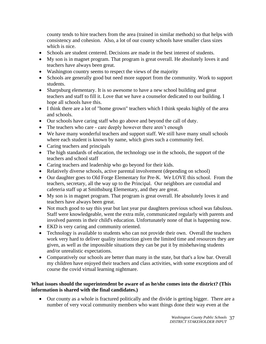county tends to hire teachers from the area (trained in similar methods) so that helps with consistency and cohesion. Also, a lot of our county schools have smaller class sizes which is nice.

- Schools are student centered. Decisions are made in the best interest of students.
- My son is in magnet program. That program is great overall. He absolutely loves it and teachers have always been great.
- Washington country seems to respect the views of the majority
- Schools are generally good but need more support from the community. Work to support students.
- Sharpsburg elementary. It is so awesome to have a new school building and great teachers and staff to fill it. Love that we have a counselor dedicated to our building. I hope all schools have this.
- I think there are a lot of "home grown" teachers which I think speaks highly of the area and schools.
- Our schools have caring staff who go above and beyond the call of duty.
- The teachers who care care deeply however there aren't enough
- We have many wonderful teachers and support staff. We still have many small schools where each student is known by name, which gives such a community feel.
- Caring teachers and principals
- The high standards of education, the technology use in the schools, the support of the teachers and school staff
- Caring teachers and leadership who go beyond for their kids.
- Relatively diverse schools, active parental involvement (depending on school)
- Our daughter goes to Old Forge Elementary for Pre-K. We LOVE this school. From the teachers, secretary, all the way up to the Principal. Our neighbors are custodial and cafeteria staff up at Smithsburg Elementary, and they are great.
- My son is in magnet program. That program is great overall. He absolutely loves it and teachers have always been great.
- Not much good to say this year but last year pur daughters previous school was fabulous. Staff were knowledgeable, went the extra mile, communicated regularly with parents and involved parents in their child's education. Unfortunately none of that is happening now.
- EKD is very caring and community oriented.
- Technology is available to students who can not provide their own. Overall the teachers work very hard to deliver quality instruction given the limited time and resources they are given, as well as the impossible situations they can be put it by misbehaving students and/or unrealistic expectations.
- Comparatively our schools are better than many in the state, but that's a low bar. Overall my children have enjoyed their teachers and class activities, with some exceptions and of course the covid virtual learning nightmare.

# **What issues should the superintendent be aware of as he/she comes into the district? (This information is shared with the final candidates.)**

• Our county as a whole is fractured politically and the divide is getting bigger. There are a number of very vocal community members who want things done their way even at the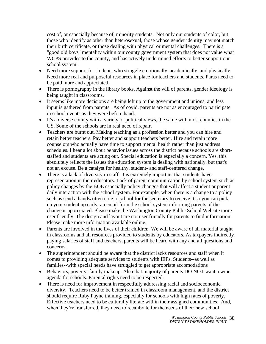cost of, or especially because of, minority students. Not only our students of color, but those who identify as other than heterosexual, those whose gender identity may not match their birth certificate, or those dealing with physical or mental challenges. There is a "good old boys" mentality within our county government system that does not value what WCPS provides to the county, and has actively undermined efforts to better support our school system.

- Need more support for students who struggle emotionally, academically, and physically. Need more real and purposeful resources in place for teachers and students. Paras need to be paid more and appreciated.
- There is pornography in the library books. Against the will of parents, gender ideology is being taught in classrooms.
- It seems like more decisions are being left up to the government and unions, and less input is gathered from parents. As of covid, parents are not as encouraged to participate in school events as they were before hand.
- It's a diverse county with a variety of political views, the same with most counties in the US. Some of the schools are in real need of repair.
- Teachers are burnt out. Making teaching as a profession better and you can hire and retain better teachers. Pay better and support teachers better. Hire and retain more counselors who actually have time to support mental health rather than just address schedules. I hear a lot about behavior issues across the district because schools are shortstaffed and students are acting out. Special education is especially a concern. Yes, this absolutely reflects the issues the education system is dealing with nationally, but that's not an excuse. Be a catalyst for healthy, student- and staff-centered change.
- There is a lack of diversity in staff. It is extremely important that students have representation in their educators. Lack of parent communication by school system such as policy changes by the BOE especially policy changes that will affect a student or parent daily interaction with the school system. For example, when there is a change to a policy such as send a handwritten note to school for the secretary to receive it so you can pick up your student up early, an email from the school system informing parents of the change is appreciated. Please make the Washington County Public School Website more user friendly. The design and layout are not user friendly for parents to find information. Please make more information available online.
- Parents are involved in the lives of their children. We will be aware of all material taught in classrooms and all resources provided to students by educators. As taxpayers indirectly paying salaries of staff and teachers, parents will be heard with any and all questions and concerns.
- The superintendent should be aware that the district lacks resources and staff when it comes to providing adequate services to students with IEPs. Students--as well as families--with special needs have struggled to get appropriate accomodations
- Behaviors, poverty, family makeup. Also that majority of parents DO NOT want a wine agenda for schools. Parental rights need to be respected.
- There is need for improvement in respectfully addressing racial and socioeconomic diversity. Teachers need to be better trained in classroom management, and the district should require Ruby Payne training, especially for schools with high rates of poverty. Effective teachers need to be culturally literate within their assigned communities. And, when they're transferred, they need to recalibrate for the needs of their new school.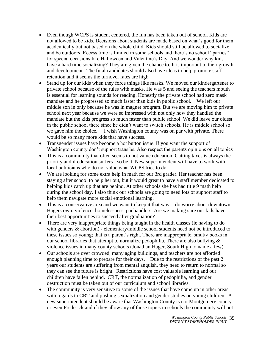- Even though WCPS is student centered, the fun has been taken out of school. Kids are not allowed to be kids. Decisions about students are made based on what's good for them academically but not based on the whole child. Kids should still be allowed to socialize and be outdoors. Recess time is limited in some schools and there's no school "parties" for special occasions like Halloween and Valentine's Day. And we wonder why kids have a hard time socializing? They are given the chance to. It is important to their growth and development. The final candidates should also have ideas to help promote staff retention and it seems the turnover rates are high.
- Stand up for our kids when they force things like masks. We moved our kindergartener to private school because of the rules with masks. He was 5 and seeing the teachers mouth is essential for learning sounds for reading. Honestly the private school had zero mask mandate and he progressed so much faster than kids in public school. We left our middle son in only because he was in magnet program. But we are moving him to private school next year because we were so impressed with not only how they handled the mandate but the kids progress so much faster than public school. We did leave our oldest in the public school there since he didn't want to switch schools. He is middle school so we gave him the choice. I wish Washington county was on par with private. There would be so many more kids that have success.
- Transgender issues have become a hot button issue. If you want the support of Washington county don't support trans bs. Also respect the parents opinions on all topics
- This is a community that often seems to not value education. Cutting taxes is always the priority and if education suffers - so be it. New superintendent will have to work with local politicians who do not value what WCPS tries to do…
- We are looking for some extra help in math for our 3rd grader. Her teacher has been staying after school to help her out, but it would great to have a staff member dedicated to helping kids catch up that are behind. At other schools she has had title 9 math help during the school day. I also think our schools are going to need lots of support staff to help them navigate more social emotional learning.
- This is a conservative area and we want to keep it that way. I do worry about downtown Hagerstown: violence, homelessness, panhandlers. Are we making sure our kids have their best opportunities to succeed after graduation?
- There are very inappropriate things being taught in the health classes (ie having to do with genders  $\&$  abortion) - elementary/middle school students need not be introduced to these issues so young; that is a parent's right. There are inappropriate, smutty books in our school libraries that attempt to normalize pedophilia. There are also bullying & violence issues in many county schools (Jonathan Hager, South High to name a few).
- Our schools are over crowded, many aging buildings, and teachers are not afforded enough planning time to prepare for their days. Due to the restrictions of the past 2 years our students are suffering from mental anguish, they need to return to normal so they can see the future is bright. Restrictions have cost valuable learning and our children have fallen behind. CRT, the normalization of pedophilia, and gender destruction must be taken out of our curriculum and school libraries.
- The community is very sensitive to some of the issues that have come up in other areas with regards to CRT and pushing sexualization and gender studies on young children. A new superintendent should be aware that Washington County is not Montgomery county or even Frederick and if they allow any of those topics in schools the community will not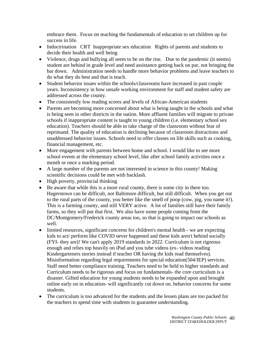embrace them. Focus on teaching the fundamentals of education to set children up for success in life.

- Indoctrination CRT Inappropriate sex education Rights of parents and students to decide their health and well being
- Violence, drugs and bullying all seem to be on the rise. Due to the pandemic (it seems) student are behind in grade level and need assistance getting back on par, not bringing the bar down. Administration needs to handle more behavior problems and leave teachers to do what they do best and that is teach.
- Student behavior issues within the schools/classrooms have increased in past couple years. Inconsistency in how unsafe working environment for staff and student safety are addressed across the county.
- The consistently low reading scores and levels of African-American students
- Parents are becoming more concerned about what is being taught in the schools and what is being seen in other districts in the nation. More affluent families will migrate to private schools if inappropriate content is taught to young children (i.e. elementary school sex education). Teachers should be able to take charge of the classroom without fear of reprimand. The quality of education is declining because of classroom distractions and unaddressed behavior issues. Schools need to offer classes on life skills such as cooking, financial management, etc.
- More engagement with parents between home and school. I would like to see more school events at the elementary school level, like after school family activities once a month or once a marking period.
- A large number of the parents are not interested in science in this county! Making scientific decisions could be met with backlash.
- High poverty, provincial thinking
- Be aware that while this is a more rural county, there is some city in there too. Hagerstown can be difficult, not Baltimore difficult, but still difficult. When you get out to the rural parts of the county, you better like the smell of poop (cow, pig, you name it!). This is a farming county, and still VERY active. A lot of families still have their family farms, so they will put that first. We also have some people coming from the DC/Montgomery/Frederick county areas too, so that is going to impact our schools as well.
- limited resources, significant concerns for children's mental health we are expecting kids to act/ perform like COVID never happened and these kids aren't behind socially (FYI- they are)! We can't apply 2019 standards in 2022. Curriculum is not rigorous enough and relies top heavily on iPad and you tube videos (ex- videos reading Kindergarteners stories instead if teacher OR having thr kids read themselves). Misinformation regarding legal requirements for special education(504/IEP) services. Staff need better compliance training. Teachers need to be held to higher standards and Curriculum needs to be rigorous and focus on fundamentals- the core curriculum is a disaster. Gifted education for young students needs to be expanded upon and brought online early on in education- will significantly cut down on. behavior concerns for some students.
- The curriculum is too advanced for the students and the lessen plans are too packed for the teachers to spend time with students to guarantee understanding.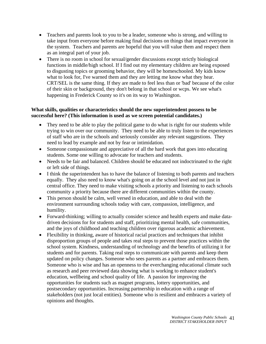- Teachers and parents look to you to be a leader, someone who is strong, and willing to take input from everyone before making final decisions on things that impact everyone in the system. Teachers and parents are hopeful that you will value them and respect them as an integral part of your job.
- There is no room in school for sexual/gender discussions except strictly biological functions in middle/high school. If I find out my elementary children are being exposed to disgusting topics or grooming behavior, they will be homeschooled. My kids know what to look for, I've warned them and they are letting me know what they hear. CRT/SEL is the same thing. If they are made to feel less than or 'bad' because of the color of their skin or background, they don't belong in that school or wcps. We see what's happening in Frederick County so it's on its way to Washington.

#### **What skills, qualities or characteristics should the new superintendent possess to be successful here? (This information is used as we screen potential candidates.)**

- They need to be able to play the political game to do what is right for our students while trying to win over our community. They need to be able to truly listen to the experiences of staff who are in the schools and seriously consider any relevant suggestions. They need to lead by example and not by fear or intimidation.
- Someone compassionate and appreciative of all the hard work that goes into educating students. Some one willing to advocate for teachers and students.
- Needs to be fair and balanced. Children should be educated not indoctrinated to the right or left side of things.
- I think the superintendent has to have the balance of listening to both parents and teachers equally. They also need to know what's going on at the school level and not just in central office. They need to make visiting schools a priority and listening to each schools community a priority because there are different communities within the county.
- This person should be calm, well versed in education, and able to deal with the environment surrounding schools today with care, compassion, intelligence, and humility.
- Forward-thinking; willing to actually consider science and health experts and make datadriven decisions for for students and staff, prioritizing mental health, safe communities, and the joys of childhood and teaching children over rigorous academic achievement.
- Flexibility in thinking, aware of historical racial practices and techniques that inhibit disproportion groups of people and takes real steps to prevent those practices within the school system. Kindness, understanding of technology and the benefits of utilizing it for students and for parents. Taking real steps to communicate with parents and keep them updated on policy changes. Someone who sees parents as a partner and embraces them. Someone who is wise and has an openness to the everchanging educational climate such as research and peer reviewed data showing what is working to enhance student's education, wellbeing and school quality of life. A passion for improving the opportunities for students such as magnet programs, lottery opportunities, and postsecondary opportunities. Increasing partnership in education with a range of stakeholders (not just local entities). Someone who is resilient and embraces a variety of opinions and thoughts.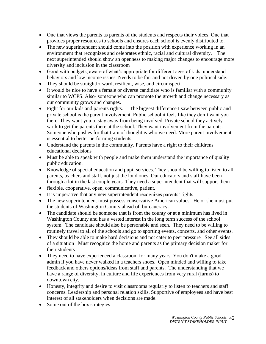- One that views the parents as parents of the students and respects their voices. One that provides proper resources to schools and ensures each school is evenly distributed to.
- The new superintendent should come into the position with experience working in an environment that recognizes and celebrates ethnic, racial and cultural diversity. The next superintended should show an openness to making major changes to encourage more diversity and inclusion in the classroom
- Good with budgets, aware of what's appropriate for different ages of kids, understand behaviors and low income issues. Needs to be fair and not driven by one political side.
- They should be straightforward, resilient, wise, and circumspect.
- It would be nice to have a female or diverse candidate who is familiar with a community similar to WCPS. Also- someone who can promote the growth and change necessary as our community grows and changes.
- Fight for our kids and parents rights. The biggest difference I saw between public and private school is the parent involvement. Public school it feels like they don't want you there. They want you to stay away from being involved. Private school they actively work to get the parents there at the school. They want involvement from the parents. Someone who pushes for that train of thought is who we need. More parent involvement is essential to better performing students.
- Understand the parents in the community. Parents have a right to their childrens educational decisions
- Must be able to speak with people and make them understand the importance of quality public education.
- Knowledge of special education and pupil services. They should be willing to listen to all parents, teachers and staff, not just the loud ones. Our educators and staff have been through a lot in the last couple years. They need a superintendent that will support them
- flexible, cooperative, open, communicative, patient,
- It is imperative that any new superintendent recognizes parents' rights.
- The new superintendent must possess conservative American values. He or she must put the students of Washington County ahead of bureaucracy.
- The candidate should be someone that is from the county or at a minimum has lived in Washington County and has a vested interest in the long term success of the school system. The candidate should also be personable and seen. They need to be willing to routinely travel to all of the schools and go to sporting events, concerts, and other events.
- They should be able to make hard decisions and not cater to peer pressure See all sides of a situation Must recognize the home and parents as the primary decision maker for their students
- They need to have experienced a classroom for many years. You don't make a good admin if you have never walked in a teachers shoes. Open minded and willing to take feedback and others options/ideas from staff and parents. The understanding that we have a range of diversity, in culture and life experiences from very rural (farms) to downtown city.
- Honesty, integrity and desire to visit classrooms regularly to listen to teachers and staff concerns. Leadership and personal relation skills. Supportive of employees and have best interest of all stakeholders when decisions are made.
- Some out of the box strategies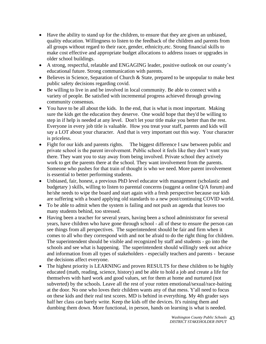- Have the ability to stand up for the children, to ensure that they are given an unbiased, quality education. Willingness to listen to the feedback of the children and parents from all groups without regard to their race, gender, ethnicity,etc. Strong financial skills to make cost effective and appropriate budget allocations to address issues or upgrades in older school buildings.
- A strong, respectful, relatable and ENGAGING leader, positive outlook on our county's educational future. Strong communication with parents.
- Believes in Science, Separation of Church & State, prepared to be unpopular to make best public safety decisions regarding covid.
- Be willing to live in and be involved in local community. Be able to connect with a variety of people. Be satisfied with incremental progress achieved through growing community consensus.
- You have to be all about the kids. In the end, that is what is most important. Making sure the kids get the education they deserve. One would hope that they'd be willing to step in if help is needed at any level. Don't let your title make you better than the rest. Everyone in every job title is valuable. How you treat your staff, parents and kids will say a LOT about your character. And that is very important out this way. Your character is priceless.
- Fight for our kids and parents rights. The biggest difference I saw between public and private school is the parent involvement. Public school it feels like they don't want you there. They want you to stay away from being involved. Private school they actively work to get the parents there at the school. They want involvement from the parents. Someone who pushes for that train of thought is who we need. More parent involvement is essential to better performing students.
- Unbiased, fair, honest, a previous PhD level educator with management (scholastic and budgetary ) skills, willing to listen to parental concerns (suggest a online Q/A forum) and he/she needs to wipe the board and start again with a fresh perspective because our kids are suffering with a board applying old standards to a new post/continuing COVID world.
- To be able to admit when the system is failing and not push an agenda that leaves too many students behind, too stressed.
- Having been a teacher for several years, having been a school administrator for several years, have children who have gone through school - all of these to ensure the person can see things from all perspectives. The superintendent should be fair and firm when it comes to all who they correspond with and not be afraid to do the right thing for children. The superintendent should be visible and recognized by staff and students - go into the schools and see what is happening. The superintendent should willingly seek out advice and information from all types of stakeholders - especially teachers and parents - because the decisions affect everyone.
- The highest priority is LEARNING and proven RESULTS for these children to be highly educated (math, reading, science, history) and be able to hold a job and create a life for themselves with hard work and good values, set for them at home and nurtured (not subverted) by the schools. Leave all the rest of your rotten emotional/sexual/race-baiting at the door. No one who loves their children wants any of that mess. Y'all need to focus on these kids and their real test scores. MD is behind in everything. My 4th grader says half her class can barely write. Keep the kids off the devices. It's ruining them and dumbing them down. More functional, in person, hands on learning is what is needed.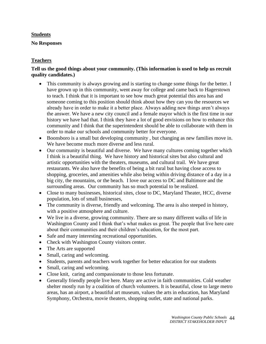# **Students**

#### **No Responses**

# **Teachers**

#### **Tell us the good things about your community. (This information is used to help us recruit quality candidates.)**

- This community is always growing and is starting to change some things for the better. I have grown up in this community, went away for college and came back to Hagerstown to teach. I think that it is important to see how much great potential this area has and someone coming to this position should think about how they can you the resources we already have in order to make it a better place. Always adding new things aren't always the answer. We have a new city council and a female mayor which is the first time in our history we have had that. I think they have a lot of good envisions on how to enhance this community and I think that the superintendent should be able to collaborate with them in order to make our schools and community better for everyone.
- Boonsboro is a small but developing community , but changing as new families move in. We have become much more diverse and less rural.
- Our community is beautiful and diverse. We have many cultures coming together which I think is a beautiful thing. We have history and historical sites but also cultural and artistic opportunities with the theaters, museums, and cultural trail. We have great restaurants. We also have the benefits of being a bit rural but having close access to shopping, groceries, and amenities while also being within driving distance of a day in a big city, the mountains, or the beach. I love our access to DC and Baltimore and the surrounding areas. Our community has so much potential to be realized.
- Close to many businesses, historical sites, close to DC, Maryland Theater, HCC, diverse population, lots of small businesses,
- The community is diverse, friendly and welcoming. The area is also steeped in history, with a positive atmosphere and culture.
- We live in a diverse, growing community. There are so many different walks of life in Washington County and I think that's what makes us great. The people that live here care about their communities and their children's education, for the most part.
- Safe and many interesting recreational opportunities.
- Check with Washington County visitors center.
- The Arts are supported
- Small, caring and welcoming.
- Students, parents and teachers work together for better education for our students
- Small, caring and welcoming.
- Close knit, caring and compassionate to those less fortunate.
- Generally friendly people live here. Many are active in faith communities. Cold weather shelter mostly run by a coalition of church volunteers. It is beautiful, close to large metro areas, has an airport, a beautiful art museum, values the arts in education, has Maryland Symphony, Orchestra, movie theaters, shopping outlet, state and national parks.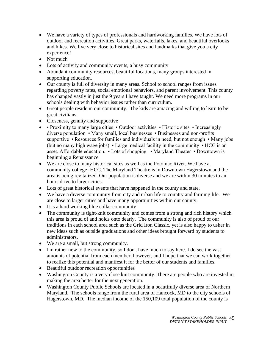- We have a variety of types of professionals and hardworking families. We have lots of outdoor and recreation activities. Great parks, waterfalls, lakes, and beautiful overlooks and hikes. We live very close to historical sites and landmarks that give you a city experience!
- Not much
- Lots of activity and community events, a busy community
- Abundant community resources, beautiful locations, many groups interested in supporting education.
- Our county is full of diversity in many areas. School to school ranges from issues regarding poverty rates, social emotional behaviors, and parent involvement. This county has changed vastly in just the 9 years I have taught. We need more programs in our schools dealing with behavior issues rather than curriculum.
- Great people reside in our community. The kids are amazing and willing to learn to be great civilians.
- Closeness, genuity and supportive
- • Proximity to many large cities Outdoor activities Historic sites Increasingly diverse population • Many small, local businesses • Businesses and non-profits supportive • Resources for families and individuals in need, but not enough • Many jobs (but no many high wage jobs) • Large medical facility in the community • HCC is an asset. Affordable education. • Lots of shopping • Maryland Theater • Downtown is beginning a Renaissance
- We are close to many historical sites as well as the Potomac River. We have a community college -HCC. The Maryland Theatre is in Downtown Hagerstown and the area is being revitalized. Our population is diverse and we are within 30 minutes to an hours drive to larger cities.
- Lots of great historical events that have happened in the county and state.
- We have a diverse community from city and urban life to country and farming life. We are close to larger cities and have many opportunities within our county.
- It is a hard working blue collar community
- The community is tight-knit community and comes from a strong and rich history which this area is proud of and holds onto dearly. The community is also of proud of our traditions in each school area such as the Grid Iron Classic, yet is also happy to usher in new ideas such as outside graduations and other ideas brought forward by students to administrators.
- We are a small, but strong community.
- I'm rather new to the community, so I don't have much to say here. I do see the vast amounts of potential from each member, however, and I hope that we can work together to realize this potential and manifest it for the better of our students and families.
- Beautiful outdoor recreation opportunities
- Washington County is a very close knit community. There are people who are invested in making the area better for the next generation.
- Washington County Public Schools are located in a beautifully diverse area of Northern Maryland. The schools range from the rural area of Hancock, MD to the city schools of Hagerstown, MD. The median income of the 150,109 total population of the county is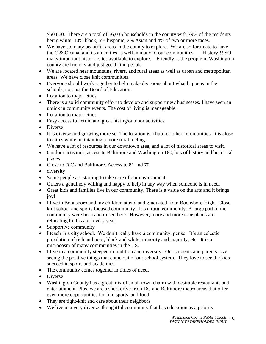\$60,860. There are a total of 56,035 households in the county with 79% of the residents being white, 10% black, 5% hispanic, 2% Asian and 4% of two or more races.

- We have so many beautiful areas in the county to explore. We are so fortunate to have the  $C & O$  canal and its amenities as well in many of our communities. History!!! SO many important historic sites available to explore. Friendly.....the people in Washington county are friendly and just good kind people
- We are located near mountains, rivers, and rural areas as well as urban and metropolitan areas. We have close knit communities.
- Everyone should work together to help make decisions about what happens in the schools, not just the Board of Education.
- Location to major cities
- There is a solid community effort to develop and support new businesses. I have seen an uptick in community events. The cost of living is manageable.
- Location to major cities
- Easy access to heroin and great hiking/outdoor activities
- Diverse
- It is diverse and growing more so. The location is a hub for other communities. It is close to cities while maintaining a more rural feeling.
- We have a lot of resources in our downtown area, and a lot of historical areas to visit.
- Outdoor activities, access to Baltimore and Washington DC, lots of history and historical places
- Close to D.C and Baltimore. Access to 81 and 70.
- diversity
- Some people are starting to take care of our environment.
- Others a genuinely willing and happy to help in any way when someone is in need.
- Great kids and families live in our community. There is a value on the arts and it brings joy!
- I live in Boonsboro and my children attend and graduated from Boonsboro High. Close knit school and sports focused community. It's a rural community. A large part of the community were born and raised here. However, more and more transplants are relocating to this area every year.
- Supportive community
- I teach in a city school. We don't really have a community, per se. It's an eclectic population of rich and poor, black and white, minority and majority, etc. It is a microcosm of many communities in the US.
- I live in a community steeped in tradition and diversity. Our students and parents love seeing the positive things that come out of our school system. They love to see the kids succeed in sports and academics.
- The community comes together in times of need.
- Diverse
- Washington County has a great mix of small town charm with desirable restaurants and entertainment. Plus, we are a short drive from DC and Baltimore metro areas that offer even more opportunities for fun, sports, and food.
- They are tight-knit and care about their neighbors.
- We live in a very diverse, thoughtful community that has education as a priority.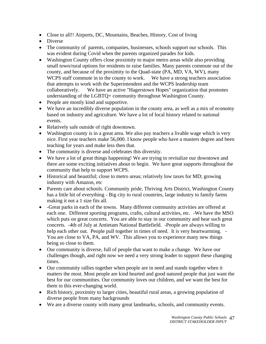- Close to all!! Airports, DC, Mountains, Beaches, History, Cost of living
- Diverse
- The community of parents, companies, businesses, schools support our schools. This was evident during Covid when the parents organized parades for kids.
- Washington County offers close proximity to major metro areas while also providing small town/rural options for residents to raise families. Many parents commute out of the county, and because of the proximity to the Quad-state (PA, MD, VA, WV), many WCPS staff commute in to the county to work. We have a strong teachers association that attempts to work with the Superintendent and the WCPS leadership team collaboratively. We have an active "Hagerstown Hopes" organization that promotes understanding of the LGBTQ+ community throughout Washington County.
- People are mostly kind and supportive.
- We have an incredibly diverse population in the county area, as well as a mix of economy based on industry and agriculture. We have a lot of local history related to national events.
- Relatively safe outside of right downtown.
- Washington county is in a great area. We also pay teachers a livable wage which is very nice. First year teachers make 56,000. I know people who have a masters degree and been teaching for years and make less then that.
- The community is diverse and celebrates this diversity.
- We have a lot of great things happening! We are trying to revitalize our downtown and there are some exciting initiatives about to begin. We have great supports throughout the community that help to support WCPS.
- Historical and beautiful; close to metro areas; relatively low taxes for MD; growing industry with Amazon, etc
- Parents care about schools. Community pride, Thriving Arts District, Washington County has a little bit of everything - Big city to rural countries, large industry to family farms making it not a 1 size fits all.
- -Great parks in each of the towns. Many different community activities are offered at each one. Different sporting programs, crafts, cultural activities, etc. -We have the MSO which puts on great concerts. You are able to stay in our community and hear such great concerts. -4th of July at Antietam National Battlefield. -People are always willing to help each other out. People pull together in times of need. It is very heartwarming. -You are close to VA, PA, and WV. This allows you to experience many new things being so close to them.
- Our community is diverse, full of people that want to make a change. We have our challenges though, and right now we need a very strong leader to support these changing times.
- Our community rallies together when people are in need and stands together when it matters the most. Most people are kind hearted and good natured people that just want the best for our communities. Our community loves our children, and we want the best for them in this ever-changing world.
- Rich history, proximity to larger cities, beautiful rural areas, a growing population of diverse people from many backgrounds
- We are a diverse county with many great landmarks, schools, and community events.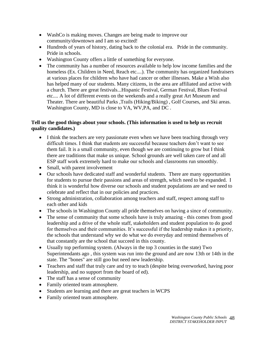- WashCo is making moves. Changes are being made to improve our community/downtown and I am so excited!
- Hundreds of years of history, dating back to the colonial era. Pride in the community. Pride in schools.
- Washington County offers a little of something for everyone.
- The community has a number of resources available to help low income families and the homeless (Ex. Children in Need, Reach etc....). The community has organized fundraisers at various places for children who have had cancer or other illnesses. Make a Wish also has helped many of our students. Many citizens, in the area are affiliated and active with a church. There are great festivals...Hispanic Festival, German Festival, Blues Festival etc.... A lot of different events on the weekends and a really great Art Museum and Theater. There are beautiful Parks ,Trails (Hiking/Biking) , Golf Courses, and Ski areas. Washington County, MD is close to VA, WV,PA, and DC .

# **Tell us the good things about your schools. (This information is used to help us recruit quality candidates.)**

- I think the teachers are very passionate even when we have been teaching through very difficult times. I think that students are successful because teachers don't want to see them fail. It is a small community, even though we are continuing to grow but I think there are traditions that make us unique. School grounds are well taken care of and all ESP staff work extremely hard to make our schools and classrooms run smoothly.
- Small, with parent involvement
- Our schools have dedicated staff and wonderful students. There are many opportunities for students to pursue their passions and areas of strength, which need to be expanded. I think it is wonderful how diverse our schools and student populations are and we need to celebrate and reflect that in our policies and practices.
- Strong administration, collaboration among teachers and staff, respect among staff to each other and kids
- The schools in Washington County all pride themselves on having a since of community.
- The sense of community that some schools have is truly amazing this comes from good leadership and a drive of the whole staff, stakeholders and student population to do good for themselves and their communities. It's successful if the leadership makes it a priority, the schools that understand why we do what we do everyday and remind themselves of that constantly are the school that succeed in this county.
- Usually top performing system. (Always in the top 3 counties in the state) Two Superintendants ago , this system was run into the ground and are now 13th or 14th in the state. The "bones" are still goo but need new leadership.
- Teachers and staff that truly care and try to teach (despite being overworked, having poor leadership, and no support from the board of ed).
- The staff has a sense of community
- Family oriented team atmosphere.
- Students are learning and there are great teachers in WCPS
- Family oriented team atmosphere.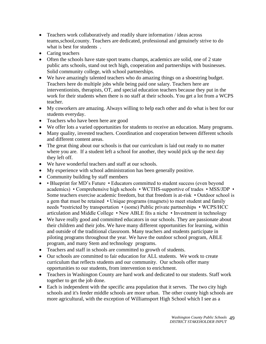- Teachers work collaboratively and readily share information / ideas across teams,school,county. Teachers are dedicated, professional and genuinely strive to do what is best for students .
- Caring teachers
- Often the schools have state sport teams champs, academics are solid, one of 2 state public arts schools, stand out tech high, cooperation and partnerships with businesses. Solid community college, with school partnerships.
- We have amazingly talented teachers who do amazing things on a shoestring budget. Teachers here do multiple jobs while being paid one salary. Teachers here are interventionists, therapists, OT, and special education teachers because they put in the work for their students when there is no staff at their schools. You get a lot from a WCPS teacher.
- My coworkers are amazing. Always willing to help each other and do what is best for our students everyday.
- Teachers who have been here are good
- We offer lots a varied opportunities for students to receive an education. Many programs.
- Many quality, invested teachers. Coordination and cooperation between different schools and different content areas.
- The great thing about our schools is that our curriculum is laid out ready to no matter where you are. If a student left a school for another, they would pick up the next day they left off.
- We have wonderful teachers and staff at our schools.
- My experience with school administration has been generally positive.
- Community building by staff members
- • Blueprint for MD's Future Educators committed to student success (even beyond academics) • Comprehensive high schools • WCTHS-supportive of trades • MSS/JDP • Some teachers exercise academic freedom, but that freedom is at-risk • Outdoor school is a gem that must be retained • Unique programs (magnets) to meet student and family needs \*restricted by transportation • (some) Public private partnerships • WCPS/HCC articulation and Middle College • New ABLE fits a niche • Investment in technology
- We have really good and committed educators in our schools. They are passionate about their children and their jobs. We have many different opportunities for learning, within and outside of the traditional classroom. Many teachers and students participate in piloting programs throughout the year. We have the outdoor school program, ABLE program, and many Stem and technology programs.
- Teachers and staff in schools are committed to growth of students.
- Our schools are committed to fair education for ALL students. We work to create curriculum that reflects students and our community. Our schools offer many opportunities to our students, from intervention to enrichment.
- Teachers in Washington County are hard work and dedicated to our students. Staff work together to get the job done.
- Each is independent with the specific area population that it serves. The two city high schools and it's feeder middle schools are more urban. The other county high schools are more agricultural, with the exception of Williamsport High School which I see as a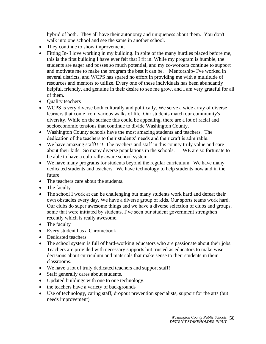hybrid of both. They all have their autonomy and uniqueness about them. You don't walk into one school and see the same in another school.

- They continue to show improvement.
- Fitting In- I love working in my building. In spite of the many hurdles placed before me, this is the first building I have ever felt that I fit in. While my program is humble, the students are eager and posses so much potential, and my co-workers continue to support and motivate me to make the program the best it can be. Mentorship- I've worked in several districts, and WCPS has spared no effort in providing me with a multitude of resources and mentors to utilize. Every one of these individuals has been abundantly helpful, friendly, and genuine in their desire to see me grow, and I am very grateful for all of them.
- Quality teachers
- WCPS is very diverse both culturally and politically. We serve a wide array of diverse learners that come from various walks of life. Our students match our community's diversity. While on the surface this could be appealing, there are a lot of racial and socioeconomic tensions that continue to divide Washington County.
- Washington County schools have the most amazing students and teachers. The dedication of the teachers to their students' needs and their craft is admirable.
- We have amazing staff!!!!! The teachers and staff in this county truly value and care about their kids. So many diverse populations in the schools. WE are so fortunate to be able to have a culturally aware school system
- We have many programs for students beyond the regular curriculum. We have many dedicated students and teachers. We have technology to help students now and in the future.
- The teachers care about the students.
- The faculty
- The school I work at can be challenging but many students work hard and defeat their own obstacles every day. We have a diverse group of kids. Our sports teams work hard. Our clubs do super awesome things and we have a diverse selection of clubs and groups, some that were initiated by students. I've seen our student government strengthen recently which is really awesome.
- The faculty
- Every student has a Chromebook
- Dedicated teachers
- The school system is full of hard-working educators who are passionate about their jobs. Teachers are provided with necessary supports but trusted as educators to make wise decisions about curriculum and materials that make sense to their students in their classrooms.
- We have a lot of truly dedicated teachers and support staff!
- Staff generally cares about students.
- Updated buildings with one to one technology.
- the teachers have a variety of backgrounds
- Use of technology, caring staff, dropout prevention specialists, support for the arts (but needs improvement)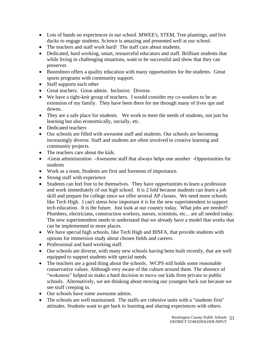- Lots of hands on experiences in our school. MWEE's, STEM, Tree plantings, and live ducks to engage students. Science is amazing and presented well at our school.
- The teachers and staff work hard! The staff care about students.
- Dedicated, hard working, smart, resourceful educators and staff. Brilliant students that while living in challenging situations, want to be successful and show that they can preserver.
- Boonsboro offers a quality education with many opportunities for the students. Great sports programs with community support.
- Staff supports each other
- Great teachers. Great admin. Inclusive. Diverse.
- We have a tight-knit group of teachers. I would consider my co-workers to be an extension of my family. They have been there for me through many of lives ups and downs.
- They are a safe place for students. We work to meet the needs of students, not just for learning but also economically, socially, etc.
- Dedicated teachers
- Our schools are filled with awesome staff and students. Our schools are becoming increasingly diverse. Staff and students are often involved in creative learning and community projects.
- The teachers care about the kids.
- -Great administration -Awesome staff that always helps one another -Opportunities for students
- Work as a team, Students are first and foremost of importance.
- Strong staff with experience
- Students can feel free to be themselves. They have opportunities to learn a profession and work immediately of out high school. It is 2 fold because students can learn a job skill and prepare for college since we offer several AP classes. We need more schools like Tech High. I can't stress how important it is for the new superintendent to support tech education. It is the future. Just look at our country today. What jobs are needed? Plumbers, electricians, construction workers, nurses, scientists, etc... are all needed today. The new superintendent needs to understand that we already have a model that works that can be implemented in more places.
- We have special high schools, like Tech High and BISFA, that provide students with options for immersion study about chosen fields and careers.
- Professional and hard working staff.
- Our schools are diverse, with many new schools having been built recently, that are well equipped to support students with special needs.
- The teachers are a good thing about the schools. WCPS still holds some reasonable conservative values. Although very aware of the culture around them. The absence of "wokeness" helped us make a hard decision to move our kids from private to public schools. Alternatively, we are thinking about moving our youngest back out because we see stuff creeping in.
- Our schools have some awesome admin.
- The schools are well maintained. The staffs are cohesive units with a "students first" attitudes. Students want to get back to learning and sharing experiences with others.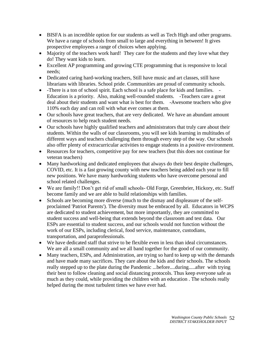- BISFA is an incredible option for our students as well as Tech High and other programs. We have a range of schools from small to large and everything in between! It gives prospective employees a range of choices when applying.
- Majority of the teachers work hard! They care for the students and they love what they do! They want kids to learn.
- Excellent AP programming and growing CTE programming that is responsive to local needs;
- Dedicated caring hard-working teachers, Still have music and art classes, still have librarians with libraries. School pride. Communities are proud of community schools.
- -There is a ton of school spirit. Each school is a safe place for kids and families. -Education is a priority. Also, making well-rounded students. -Teachers care a great deal about their students and want what is best for them. -Awesome teachers who give 110% each day and can roll with what ever comes at them.
- Our schools have great teachers, that are very dedicated. We have an abundant amount of resources to help reach student needs.
- Our schools have highly qualified teachers and administrators that truly care about their students. Within the walls of our classrooms, you will see kids learning in multitudes of different ways and teachers challenging them through every step of the way. Our schools also offer plenty of extracurricular activities to engage students in a positive environment.
- Resources for teachers, competitive pay for new teachers (but this does not continue for veteran teachers)
- Many hardworking and dedicated employees that always do their best despite challenges, COVID, etc. It is a fast growing county with new teachers being added each year to fill new positions. We have many hardworking students who have overcome personal and school related challenges.
- We are family!! Don't get rid of small schools- Old Forge, Greenbrier, Hickory, etc. Staff become family and we are able to build relationships with families.
- Schools are becoming more diverse (much to the dismay and displeasure of the selfproclaimed 'Patriot Parents'). The diversity must be embraced by all. Educators in WCPS are dedicated to student achievement, but more importantly, they are committed to student success and well-being that extends beyond the classroom and test data. Our ESPs are essential to student success, and our schools would not function without the work of our ESPs, including clerical, food service, maintenance, custodians, transportation, and paraprofessionals.
- We have dedicated staff that strive to be flexible even in less than ideal circumstances. We are all a small community and we all band together for the good of our community.
- Many teachers, ESPs, and Administration, are trying so hard to keep up with the demands and have made many sacrifices. They care about the kids and their schools. The schools really stepped up to the plate during the Pandemic ...before....during.....after with trying their best to follow cleaning and social distancing protocols. Thus keep everyone safe as much as they could, while providing the children with an education . The schools really helped during the most turbulent times we have ever had.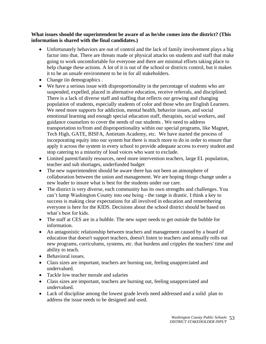#### **What issues should the superintendent be aware of as he/she comes into the district? (This information is shared with the final candidates.)**

- Unfortunately behaviors are out of control and the lack of family involvement plays a big factor into that. There are threats made or physical attacks on students and staff that make going to work uncomfortable for everyone and there are minimal efforts taking place to help change these actions. A lot of it is out of the school or districts control, but it makes it to be an unsafe environment to be in for all stakeholders.
- Change iin demographics.
- We have a serious issue with disproportionality in the percentage of students who are suspended, expelled, placed in alternative education, receive referrals, and disciplined. There is a lack of diverse staff and staffing that reflects our growing and changing population of students, especially students of color and those who are English Learners. We need more supports for addiction, mental health, behavior issues, and social emotional learning and enough special education staff, therapists, social workers, and guidance counselors to cover the needs of our students . We need to address transportation to/from and disproportionality within our special programs, like Magnet, Tech High, GATE, BISFA, Antietam Academy, etc. We have started the process of incorporating equity into our system but there is much more to do in order to ensure that apply it across the system in every school to provide adequate access to every student and stop catering to a minority of loud voices who want to exclude.
- Limited parent/family resources, need more intervention teachers, large EL population, teacher and sub shortages, underfunded budget
- The new superintendent should be aware there has not been an atmosphere of collaboration between the union and management. We are hoping things change under a new leader to insure what is best for the students under our care.
- The district is very diverse, each community has its own strengths and challenges. You can't lump Washington County into one being - the range is drastic. I think a key to success is making clear expectations for all involved in education and remembering everyone is here for the KIDS. Decisions about the school district should be based on what's best for kids.
- The staff at CES are in a bubble. The new super needs to get outside the bubble for information.
- An antagonistic relationship between teachers and management caused by a board of education that doesn't support teachers, doesn't listen to teachers and annually rolls out new programs, curriculums, systems, etc. that burdens and cripples the teachers' time and ability to teach.
- Behavioral issues.
- Class sizes are important, teachers are burning out, feeling unappreciated and undervalued.
- Tackle low teacher morale and salaries
- Class sizes are important, teachers are burning out, feeling unappreciated and undervalued.
- Lack of discipline among the lowest grade levels need addressed and a solid plan to address the issue needs to be designed and used.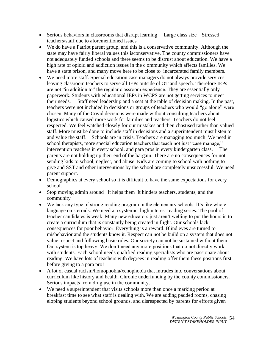- Serious behaviors in classrooms that disrupt learning Large class size Stressed teachers/staff due to aforementioned issues
- We do have a Patriot parent group, and this is a conservative community. Although the state may have fairly liberal values this isconservative. The county commissioners have not adequately funded schools and there seems to be distrust about education. We have a high rate of opioid and addiction issues in the c ommunity which affects families. We have a state prison, and many move here to be close to incarcerated family members.
- We need more staff. Special education case managers do not always provide services leaving classroom teachers to serve all IEPs outside of OT and speech. Therefore IEPs are not "in addition to" the regular classroom experience. They are essentially only paperwork. Students with educational IEPs in WCPS are not getting services to meet their needs. Staff need leadership and a seat at the table of decision making. In the past, teachers were not included in decisions or groups of teachers who would "go along" were chosen. Many of the Covid decisions were made without consulting teachers about logistics which caused more work for families and teachers. Teachers do not feel respected. We feel watched closely for our mistakes and then chastised rather than valued staff. More must be done to include staff in decisions and a superintendent must listen to and value the staff. Schools are in crisis. Teachers are managing too much. We need in school therapists, more special education teachers that teach not just "case manage," intervention teachers in every school, and para pros in every kindergarten class. The parents are not holding up their end of the bargain. There are no consequences for not sending kids to school, neglect, and abuse. Kids are coming to school with nothing to give and SST and other interventions by the school are completely unsuccessful. We need parent support.
- Demographics at every school so it is difficult to have the same expectations for every school.
- Stop moving admin around It helps them It hinders teachers, students, and the community
- We lack any type of strong reading program in the elementary schools. It's like whole language on steroids. We need a a systemic, high interest reading series. The pool of teacher candidates is weak. Many new educators just aren't welling to put the hours in to create a curriculum that is constantly being created in flight. Our schools lack consequences for poor behavior. Everything is a reward. Blind eyes are turned to misbehavior and the students know it. Respect can not be build on a system that does not value respect and following basic rules. Our society can not be sustained without them. Our system is top heavy. We don't need any more positions that do not directly work with students. Each school needs qualified reading specialists who are passionate about reading. We have lots of teachers with degrees in reading offer them these positions first before giving to a para pro!
- A lot of casual racism/homophobia/xenophobia that intrudes into conversations about curriculum like history and health. Chronic underfunding by the county commissioners. Serious impacts from drug use in the community.
- We need a superintendent that visits schools more than once a marking period at breakfast time to see what staff is dealing with. We are adding padded rooms, chasing eloping students beyond school grounds, and disrespected by parents for efforts given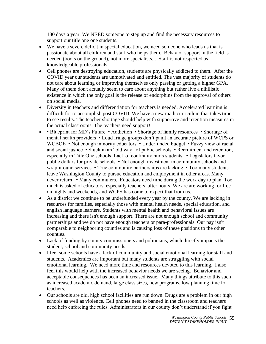180 days a year. We NEED someone to step up and find the necessary resources to support our title one one students.

- We have a severe deficit in special education, we need someone who leads us that is passionate about all children and staff who helps them. Behavior support in the field is needed (boots on the ground), not more specialists... Staff is not respected as knowledgeable professionals.
- Cell phones are destroying education, students are physically addicted to them. After the COVID year our students are unmotivated and entitled. The vast majority of students do not care about learning or improving themselves only passing or getting a higher GPA. Many of them don't actually seem to care about anything but rather live a nihilistic existence in which the only goal is the release of endorphins from the approval of others on social media.
- Diversity in teachers and differentiation for teachers is needed. Accelerated learning is difficult for to accomplish post COVID. We have a new math curriculum that takes time to see results. The teacher shortage should help with supportive and retention measures in the actual classrooms. The teachers need support!
- • Blueprint for MD's Future Addiction Shortage of family resources Shortage of mental health providers • Loud fringe groups don't paint an accurate picture of WCPS or WCBOE • Not enough minority educators • Underfunded budget • Fuzzy view of racial and social justice • Stuck in an "old way" of public schools • Recruitment and retention, especially in Title One schools. Lack of continuity hurts students. • Legislators favor public dollars for private schools • Not enough investment in community schools and wrap-around services • True community partnerships are lacking • Too many students leave Washington County to pursue education and employment in other areas. Many never return. • Many commuters. Educators need time during the work day to plan. Too much is asked of educators, especially teachers, after hours. We are are working for free on nights and weekends, and WCPS has come to expect that from us.
- As a district we continue to be underfunded every year by the county. We are lacking in resources for families, especially those with mental health needs, special education, and english language learners. Students with mental health and behavioral issues are increasing and there isn't enough support. There are not enough school and community partnerships and we do not have enough teachers or para-professionals. Our pay isn't comparable to neighboring counties and is causing loss of these positions to the other counties.
- Lack of funding by county commissioners and politicians, which directly impacts the student, school and community needs.
- I feel some schools have a lack of community and social emotional learning for staff and students. Academics are important but many students are struggling with social emotional learning. We need more time and resources devoted to this learning. I also feel this would help with the increased behavior needs we are seeing. Behavior and acceptable consequences has been an increased issue. Many things attribute to this such as increased academic demand, large class sizes, new programs, low planning time for teachers.
- Our schools are old, high school facilities are run down. Drugs are a problem in our high schools as well as violence. Cell phones need to banned in the classroom and teachers need help enforcing the rules. Administrators in our county don't understand if you fight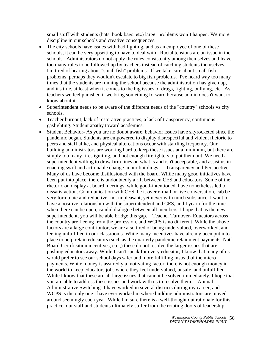small stuff with students (hats, book bags, etc) larger problems won't happen. We more discipline in our schools and creative consequences.

- The city schools have issues with bad fighting, and as an employee of one of these schools, it can be very upsetting to have to deal with. Racial tensions are an issue in the schools. Administrators do not apply the rules consistently among themselves and leave too many rules to be followed up by teachers instead of catching students themselves. I'm tired of hearing about "small fish" problems. If we take care about small fish problems, perhaps they wouldn't escalate to big fish problems. I've heard way too many times that the students are running the school because the administration has given up, and it's true, at least when it comes to the big issues of drugs, fighting, bullying, etc. As teachers we feel punished if we bring something forward because admin doesn't want to know about it.
- Superintendent needs to be aware of the different needs of the "country" schools vs city schools.
- Teacher burnout, lack of restorative practices, a lack of transparency, continuous gaslighting. Student apathy toward academics.
- Student Behavior- As you are no doubt aware, behavior issues have skyrocketed since the pandemic began. Students are empowered to display disrespectful and violent rhetoric to peers and staff alike, and physical altercations occur with startling frequency. Our building administrators are working hard to keep these issues at a minimum, but there are simply too many fires igniting, and not enough firefighters to put them out. We need a superintendent willing to draw firm lines on what is and isn't acceptable, and assist us in enacting swift and actionable change in our buildings. Transparency and Perspective-Many of us have become disillusioned with the board. While many good initiatives have been put into place, there is undoubtedly a rift between CES and educators. Some of the rhetoric on display at board meetings, while good-intentioned, have nonetheless led to dissatisfaction. Communication with CES, be it over e-mail or live conversation, cab be very formulaic and reductive- not unpleasant, yet never with much substance. I want to have a positive relationship with the superintendent and CES, and I yearn for the time when there can be open, candid dialogue between all members. I hope that as the new superintendent, you will be able bridge this gap. Teacher Turnover- Educators across the country are fleeing from the profession, and WCPS is no different. While the above factors are a large contributor, we are also tired of being undervalued, overworked, and feeling unfulfilled in our classrooms. While many incentives have already been put into place to help retain educators (such as the quarterly pandemic retainment payments, Nat'l Board Certification incentives, etc.,) these do not resolve the larger issues that are pushing educators away. While I can't speak for every educator, I know that many of us would prefer to see our school days safer and more fulfilling instead of the micro payments. While money is assuredly a motivating factor, there is not enough money in the world to keep educators jobs where they feel undervalued, unsafe, and unfulfilled. While I know that these are all large issues that cannot be solved immediately, I hope that you are able to address these issues and work with us to resolve them. Annual Administrative Switching- I have worked in several districts during my career, and WCPS is the only one I have ever worked in where building administrators are moved around seemingly each year. While I'm sure there is a well-thought out rationale for this practice, our staff and students ultimately suffer from the rotating doors of leadership.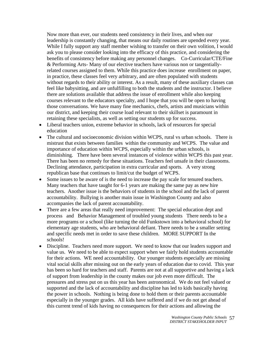Now more than ever, our students need consistency in their lives, and when our leadership is constantly changing, that means our daily routines are upended every year. While I fully support any staff member wishing to transfer on their own volition, I would ask you to please consider looking into the efficacy of this practice, and considering the benefits of consistency before making any personnel changes. Co-Curricular/CTE/Fine & Performing Arts- Many of our elective teachers have various non or tangentiallyrelated courses assigned to them. While this practice does increase enrollment on paper, in practice, these classes feel very arbitrary, and are often populated with students without regards to their ability or interest. As a result, many of these auxiliary classes can feel like babysitting, and are unfulfilling to both the students and the instructor. I believe there are solutions available that address the issue of enrollment while also keeping courses relevant to the educators specialty, and I hope that you will be open to having those conversations. We have many fine mechanics, chefs, artists and musicians within our district, and keeping their course load relevant to their skillset is paramount in retaining these specialists, as well as setting our students up for success.

- Liberal teachers union, extreme behavior in schools, lack of resources for special education
- The cultural and socioeconomic division within WCPS, rural vs urban schools. There is mistrust that exists between families within the community and WCPS. The value and importance of education within WCPS, especially within the urban schools, is diminishing. There have been several instances of violence within WCPS this past year. There has been no remedy for these situations. Teachers feel unsafe in their classrooms. Declining attendance, participation in extra curricular and sports. A very strong republican base that continues to limit/cut the budget of WCPS.
- Some issues to be aware of is the need to increase the pay scale for tenured teachers. Many teachers that have taught for 6-1 years are making the same pay as new hire teachers. Another issue is the behaviors of students in the school and the lack of parent accountability. Bullying is another main issue in Washington County and also accompanies the lack of parent accountability.
- There are a few areas that really need improvement: The special education dept and process and Behavior Management of troubled young students There needs to be a more programs or a school (like turning the old Funkstown into a behavioral school) for elementary age students, who are behavioral defiant. There needs to be a smaller setting and specific needs met in order to save these children. MORE SUPPORT In the schools!
- Discipline. Teachers need more support. We need to know that our leaders support and value us. We need to be able to expect support when we fairly hold students accountable for their actions. WE need accountability. Our younger students especially are missing vital social skills after missing out on the early years of education due to covid. This year has been so hard for teachers and staff. Parents are not at all supportive and having a lack of support from leadership in the county makes our job even more difficult. The pressures and stress put on us this year has been astronomical. We do not feel valued or supported and the lack of accountability and discipline has led to kids basically having the power in schools. Nothing is being done to hold them or their parents accountable especially in the younger grades. All kids have suffered and if we do not get ahead of this current trend of kids having no consequences for their actions and allowing the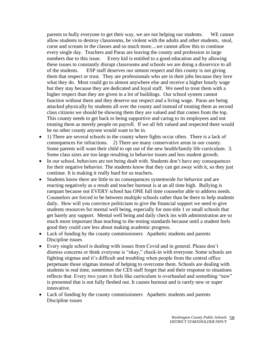parents to bully everyone to get their way, we are not helping our students. WE cannot allow students to destroy classrooms, be violent with the adults and other students, steal, curse and scream in the classes and so much more....we cannot allow this to continue every single day. Teachers and Paras are leaving the county and profession in large numbers due to this issue. Every kid is entitled to a good education and by allowing these issues to constantly disrupt classrooms and schools we are doing a disservice to all of the students. ESP staff deserves our utmost respect and this county is not giving them that respect or trust. They are professionals who are in their jobs because they love what they do. Most could go to almost anywhere else and receive a higher hourly wage but they stay because they are dedicated and loyal staff. We need to treat them with a higher respect than they are given in a lot of buildings. Our school system cannot function without them and they deserve our respect and a living wage. Paras are being attacked physically by students all over the county and instead of treating them as second class citizens we should be showing them they are valued and that comes from the top. This county needs to get back to being supportive and caring to its employees and not treating them as merely people on payroll. If we all felt valued and respected there would be no other county anyone would want to be in.

- 1) There are several schools in the county where fights occur often. There is a lack of consequences for infractions. 2) There are many conservative areas in our county. Some parents will want their child to opt out of the new health/family life curriculum. 3. Some class sizes are too large resulting in behavior issues and less student growth.
- In our school, behaviors are not being dealt with. Students don't have any consequences for their negative behavior. The students know that they can get away with it, so they just continue. It is making it really hard for us teachers.
- Students know there are little to no consequences systemwide for behavior and are reacting negatively as a result and teacher burnout is at an all time high. Bullying is rampant because not EVERY school has ONE full time counselor able to address needs. Counselors are forced to be between multiple schools rather than be there to help students daily. How will you convince politicians to give the financial support we need to give students resources for mental well being, especially for non-title 1 or small schools that get barely any support. Mental well being and daily check ins with administration are so much more important than teaching to the testing standards because until a student feels good they could care less about making academic progress.
- Lack of funding by the county commissioners Apathetic students and parents Discipline issues
- Every single school is dealing with issues from Covid and in general. Please don't dismiss concerns or think everyone is "okay," check-in with everyone. Some schools are fighting stigmas and it's difficult and troubling when people from the central office perpetuate those stigmas instead of helping to overcome them. Schools are dealing with students in real time, sometimes the CES staff forget that and their response to situations reflects that. Every two years it feels like curriculum is overhauled and something "new" is presented that is not fully fleshed out. It causes burnout and is rarely new or super innovative.
- Lack of funding by the county commissioners Apathetic students and parents Discipline issues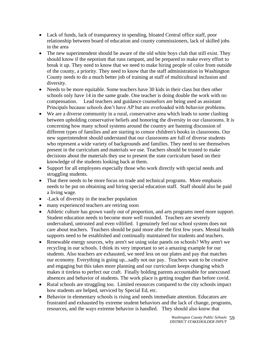- Lack of funds, lack of transparency in spending, bloated Central office staff, poor relationship between board of education and county commissioners, lack of skilled jobs in the area
- The new superintendent should be aware of the old white boys club that still exist. They should know if the nepotism that runs rampant, and be prepared to make every effort to break it up. They need to know that we need to make hiring people of color from outside of the county, a priority. They need to know that the staff administration in Washington County needs to do a much better job of training at staff of multicultural inclusion and diversity.
- Needs to be more equitable. Some teachers have 30 kids in their class but then other schools only have 14 in the same grade. One teacher is doing double the work with no compensation. Lead teachers and guidance counselors are being used as assistant Principals because schools don't have AP but are overloaded with behavior problems.
- We are a diverse community in a rural, conservative area which leads to some clashing between upholding conservative beliefs and honoring the diversity in our classrooms. It is concerning how many school systems around the country are banning discussion of different types of families and are starting to censor children's books in classrooms. Our new superintendent should understand that our classrooms are full of diverse students who represent a wide variety of backgrounds and families. They need to see themselves present in the curriculum and materials we use. Teachers should be trusted to make decisions about the materials they use to present the state curriculum based on their knowledge of the students looking back at them.
- Support for all employees especially those who work directly with special needs and struggling students.
- That there needs to be more focus on trade and technical programs. More emphasis needs to be put on obtaining and hiring special education staff. Staff should also be paid a living wage.
- -Lack of diversity in the teacher population
- many experienced teachers are retiring soon
- Athletic culture has grown vastly out of proportion, and arts programs need more support. Student education needs to become more well rounded. Teachers are severely undervalued, untrusted and even villified. I genuinely feel our school system does not care about teachers. Teachers should be paid more after the first few years. Mental health supports need to be established and continually maintained for students and teachers.
- Renewable energy sources, why aren't we using solar panels on schools? Why aren't we recycling in our schools. I think its very important to set a amazing example for our students. Also teachers are exhausted, we need less on our plates and pay that matches our economy. Everything is going up...sadly not our pay. Teachers want to be creative and engaging but this takes more planning and our curriculum keeps changing which makes it tireless to perfect our craft. Finally holding parents accountable for unexcused absences and behavior of students. The work place is getting tougher than before covid.
- Rural schools are struggling too. Limited resources compared to the city schools impact how students are helped, serviced by Special Ed, etc.
- Behavior in elementary schools is rising and needs immediate attention. Educators are frustrated and exhausted by extreme student behaviors and the lack of change, programs, resources, and the ways extreme behavior is handled. They should also know that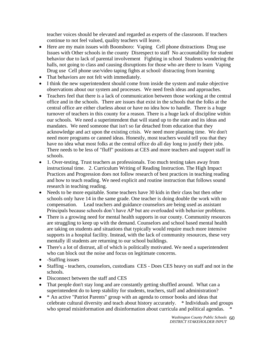teacher voices should be elevated and regarded as experts of the classroom. If teachers continue to not feel valued, quality teachers will leave.

- Here are my main issues with Boonsboro: Vaping Cell phone distractions Drug use Issues with Other schools in the county Disrespect to staff No accountability for student behavior due to lack of parental involvement Fighting in school Students wondering the halls, not going to class and causing disruptions for those who are there to learn Vaping Drug use Cell phone use/video taping fights at school/ distracting from learning
- That behaviors are not felt with immediately.
- I think the new superintendent should come from inside the system and make objective observations about our system and processes. We need fresh ideas and approaches.
- Teachers feel that there is a lack of communication between those working at the central office and in the schools. There are issues that exist in the schools that the folks at the central office are either clueless about or have no idea how to handle. There is a huge turnover of teachers in this county for a reason. There is a huge lack of discipline within our schools. We need a superintendent that will stand up to the state and its ideas and mandates. We need someone that isn't so far detached from education that they acknowledge and act upon the existing crisis. We need more planning time. We don't need more programs or canned ideas. Honestly, most teachers would tell you that they have no idea what most folks at the central office do all day long to justify their jobs. There needs to be less of "fluff" positions at CES and more teachers and support staff in schools.
- 1. Over-testing. Trust teachers as professionals. Too much testing takes away from instructional time. 2. Curriculum Writing of Reading Instruction. The High Impact Practices and Progression does not follow research of best practices in teaching reading and how to teach reading. We need explicit and routine instruction that follows sound research in teaching reading.
- Needs to be more equitable. Some teachers have 30 kids in their class but then other schools only have 14 in the same grade. One teacher is doing double the work with no compensation. Lead teachers and guidance counselors are being used as assistant Principals because schools don't have AP but are overloaded with behavior problems.
- There is a growing need for mental health supports in our county. Community resources are struggling to keep up with the demand. Counselors and school based mental health are taking on students and situations that typically would require much more intensive supports in a hospital facility. Instead, with the lack of community resources, these very mentally ill students are returning to our school buildings.
- There's a lot of distrust, all of which is politically motivated. We need a superintendent who can block out the noise and focus on legitimate concerns.
- -Staffing issues
- Staffing teachers, counselors, custodians CES Does CES heavy on staff and not in the schools.
- Disconnect between the staff and CES
- That people don't stay long and are constantly getting shuffled around. What can a superintendent do to keep stability for students, teachers, staff and administration?
- \* An active "Patriot Parents" group with an agenda to censor books and ideas that celebrate cultural diversity and teach about history accurately. \* Individuals and groups who spread misinformation and disinformation about curricula and political agendas.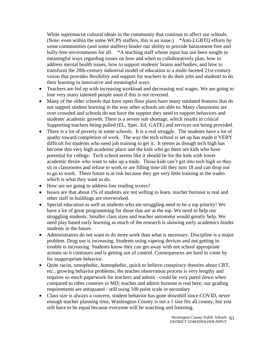White supremacist cultural ideals in the community that continue to affect our schools. (Note: even within the some WCPS staffers, this is an issue.) \*Anti-LGBTQ efforts by some communities (and some staffers) hinder our ability to provide harassment-free and bully-free environments for all. \*A teaching staff whose input has not been sought in meaningful ways regarding issues on how and when to collaboratively plan, how to address mental health issues, how to support students' brains and bodies, and how to transform the 20th-century industrial model of education to a multi-faceted 21st-century vision that provides flexibility and support for teachers to do their jobs and students to do their learning in innovative and meaningful ways.

- Teachers are fed up with increasing workload and decreasing real wages. We are going to lose very many talented people soon if this is not reversed.
- Many of the older schools that have open floor plans have many outdated features that do not support student learning in the way other schools are able to. Many classrooms are over crowded and schools do not have the support they need to support behaviors and students' academic growth. There is a severe sub shortage, which results in critical Supporting teachers being pulled (EL, Spec. Ed, GATE) and services not being provided.
- There is a lot of poverty in some schools. It is a real struggle. The students have a lot of apathy toward completion of work. The way the tech school is set up has made it VERY difficult for students who need job training to get it. It seems as though tech high has become this very high academic place and the kids who go there are kids who have potential for college. Tech school seems like it should be for the kids with lower academic desire who want to take up a trade. Those kids can't get into tech high so they sit in classrooms and refuse to work or are filling time till they turn 18 and can drop out to go to work. There future is at risk because they get very little training in the trades which is what they want to do.
- How are we going to address low reading scores?
- Issues are that about 1% of students are not willing to learn, teacher burnout is real and other staff in buildings are overworked.
- Special education as well as students who are struggling need to be a top priority! We have a lot of great programming for those that are at the top. We need to help our struggling students. Smaller class sizes and teacher autonomy would greatly help. We need play based early learning as much of the research is showing early academics hinder students in the future.
- Administrators do not want to do more work than what is necessary. Discipline is a major problem. Drug use is increasing. Students using vapeing devices and not getting in trouble is increasing. Students know they can get away with not school appropriate actions so it continues and is getting out of control. Consequences are hard to come by for inappropriate behavior.
- Quite racist, xenophobic, homophobic, quick to believe conspiracy theories about CRT, etc., growing behavior problems; the teacher observation process is very lengthy and requires so much paperwork for teachers and admin - could be very pared down when compared to other counties in MD; teacher and admin burnout is real here; our grading requirements are antiquated - still using 100 point scale in secondary
- Class size is always a concern, student behavior has gone downhill since COVID, never enough teacher planning time, Washington County is not a 1 size fits all county, but you still have to be equal because everyone will be watching and listening.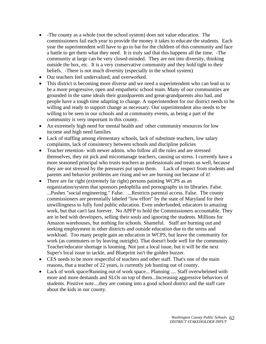- -The county as a whole (not the school system) does not value education. The commissioners fail each year to provide the money it takes to educate the students. Each year the superintendent will have to go to bat for the children of this community and face a battle to get them what they need. It is truly sad that this happens all the time. -The community at large can be very closed-minded. They are not into diversity, thinking outside the box, etc. It is a very conservative community and they hold tight to their beliefs. -There is not much diversity (especially in the school system)
- Our teachers feel undervalued, and overworked.
- This district is becoming more diverse and we need a superintendent who can lead us to be a more progressive, open and empathetic school team. Many of our communities are grounded in the same ideals their grandparents and great-grandparents also had, and people have a tough time adapting to change. A superintendent for our district needs to be willing and ready to support change as necessary. Our superintendent also needs to be willing to be seen in our schools and at community events, as being a part of the community is very important in this county.
- An extremely high need for mental health and other community resources for low income and high need families
- Lack of staffing among elementary schools, lack of substitute teachers, low salary complaints, lack of consistency between schools and discipline policies
- Teacher retention- with newer admin. who follow all the rules and are stressed themselves, they nit pick and micromanage teachers, causing us stress. I currently have a more seasoned principal who trusts teachers as professionals and treats us well, because they are not stressed by the pressures put upon them. Lack of respect from students and parents and behavior problems are rising and we are burning out because of it!
- There are far right (extremely far right) persons painting WCPS as an organization/system that sponsors pedophilia and pornography in its libraries. False. ...Pushes "social engineering." False. ...Restricts parental access. False. The county commissioners are perennially labeled "low effort" by the state of Maryland for their unwillingness to fully fund public education. Even underfunded, educators to amazing work, but that can't last forever. No APFP to hold the Commissioners accountable. They are in bed with developers, selling their souls and ignoring the students. Millions for Amazon warehouses, but nothing for schools. Shameful. Staff are burning out and seeking employment in other districts and outside education due to the stress and workload. Too many people gain an education in WCPS, but leave the community for work (as commuters or by leaving outright). That doesn't bode well for the community. Teacher/educator shortage is looming. Not just a local issue, but it will be the next Super's local issue to tackle, and Blueprint isn't the golden buzzer.
- CES needs to be more respectful of teachers and other staff. That's one of the main reasons, that a teacher of 22 years, is currently job hunting out of county.
- Lack of work space/Running out of work space... Planning .... Staff overwhelmed with more and more demands and SLOs on top of them...Increasing aggressive behaviors of students. Positive note....they are coming into a good school district and the staff care about the kids in our county.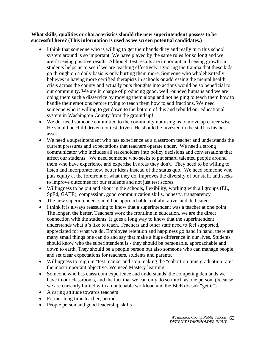#### **What skills, qualities or characteristics should the new superintendent possess to be successful here? (This information is used as we screen potential candidates.)**

- I think that someone who is willing to get their hands dirty and really turn this school system around is so important. We have played by the same rules for so long and we aren't seeing positive results. Although test results are important and seeing growth in students helps us to see if we are teaching effectively, ignoring the trauma that these kids go through on a daily basis is only hurting them more. Someone who wholeheartedly believes in having more certified therapists in schools or addressing the mental health crisis across the county and actually puts thoughts into actions would be so beneficial to our community. We are in charge of producing good, well rounded humans and we are doing them such a disservice by moving them along and not helping to teach them how to handle their emotions before trying to teach them how to add fractions. We need someone who is willing to get down to the bottom of this and rebuild our educational system in Washington County from the ground up!
- We do need someone committed to the community not using us to move up career wise. He should be child driven not test driven .He should be invested in the staff as his best asset
- We need a superintendent who has experience as a classroom teacher and understands the current pressures and expectations that teachers operate under. We need a strong communicator who includes all stakeholders into policy decisions and conversations that affect our students. We need someone who seeks to put smart, talented people around them who have experience and expertise in areas they don't. They need to be willing to listen and incorporate new, better ideas instead of the status quo. We need someone who puts equity at the forefront of what they do, improves the diversity of our staff, and seeks to improve outcomes for our students and not just test scores.
- Willingness to be out and about in the schools, flexibility, working with all groups (EL, SpEd, GATE), compassion, good communication skills, honesty, transparency
- The new superintendent should be approachable, collaborative, and dedicated.
- I think it is always reassuring to know that a superintendent was a teacher at one point. The longer, the better. Teachers work the frontline in education, we are the direct connection with the students. It goes a long way to know that the superintendent understands what it's like to teach. Teachers and other staff need to feel supported, appreciated for what we do. Employee retention and happiness go hand in hand, there are many small things one can do and say that make a huge difference in our lives. Students should know who the superintendent is - they should be personable, approachable and down to earth. They should be a people person but also someone who can manage people and set clear expectations for teachers, students and parents.
- Willingness to reign in "test mania" and stop making the "cohort on time graduation rate" the most important objective. We need Mastery learning.
- Someone who has classroom experience and understands the competing demands we have in our classrooms, and the fact that we can only do so much as one person, (because we are currently buried with an untenable workload and the BOE doesn't "get it").
- A caring attitude towards teachers
- Former long time teacher, period.
- People person and good leadership skills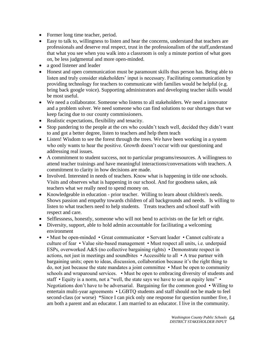- Former long time teacher, period.
- Easy to talk to, willingness to listen and hear the concerns, understand that teachers are professionals and deserve real respect, trust in the professionalism of the staff,understand that what you see when you walk into a classroom is only a minute portion of what goes on, be less judgmental and more open-minded.
- a good listener and leader
- Honest and open communication must be paramount skills thus person has. Being able to listen and truly consider stakeholders' input is necessary. Facilitating communication by providing technology for teachers to communicate with families would be helpful (e.g. bring back google voice). Supporting administrators and developing teacher skills would be most useful.
- We need a collaborator. Someone who listens to all stakeholders. We need a innovator and a problem solver. We need someone who can find solutions to our shortages that we keep facing due to our county commissioners.
- Realistic expectations, flexibility and tenacity.
- Stop pandering to the people at the ces who couldn't teach well, decided they didn't want to and got a better degree, listen to teachers and help them teach
- Listen! Wisdom to see the forest through the trees. We have been working in a system who only wants to hear the positive. Growth doesn't occur with our questioning and addressing real issues.
- A commitment to student success, not to particular programs/resources. A willingness to attend teacher trainings and have meaningful interactions/conversations with teachers. A commitment to clarity in how decisions are made.
- Involved. Interested in needs of teachers. Know what is happening in title one schools. Visits and observes what is happening in our school. And for goodness sakes, ask teachers what we really need to spend money on.
- Knowledgeable in education prior teacher. Willing to learn about children's needs. Shows passion and empathy towards children of all backgrounds and needs. Is willing to listen to what teachers need to help students. Treats teachers and school staff with respect and care.
- Selflessness, honestly, someone who will not bend to activists on the far left or right.
- Diversity, support, able to hold admin accountable for facilitating a welcoming environment
- • Must be open-minded Great communicator Servant leader Cannot cultivate a culture of fear • Value site-based management • Must respect all units, i.e. underpaid ESPs, overworked A&S (no collective bargaining rights) • Demonstrate respect in actions, not just in meetings and soundbites • Accessible to all • A true partner with bargaining units; open to ideas, discussion, collaboration because it's the right thing to do, not just because the state mandates a joint committee • Must be open to community schools and wraparound services. • Must be open to embracing diversity of students and staff • Equity is a norm, not a "well, the state says we have to use an equity lens" • Negotiations don't have to be adversarial. Bargaining for the common good • Willing to entertain multi-year agreements • LGBTQ students and staff should not be made to feel second-class (or worse) \*Since I can pick only one response for question number five, I am both a parent and an educator. I am married to an educator. I live in the community.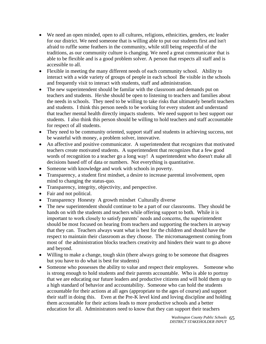- We need an open minded, open to all cultures, religions, ethnicities, genders, etc leader for our district. We need someone that is willing able to put our students first and isn't afraid to ruffle some feathers in the community, while still being respectful of the traditions, as our community culture is changing. We need a great communicator that is able to be flexible and is a good problem solver. A person that respects all staff and is accessible to all.
- Flexible in meeting the many different needs of each community school. Ability to interact with a wide variety of groups of people in each school Be visible in the schools and frequently visit to interact with students, staff and administration.
- The new superintendent should be familar with the classroom and demands put on teachers and students. He/she should be open to listening to teachers and families about the needs in schools. They need to be willing to take risks that ultimately benefit teachers and students. I think this person needs to be working for every student and understand that teacher mental health directly impacts students. We need support to best support our students. I also think this person should be willing to hold teachers and staff accountable for respect of all students.
- They need to be community oriented, support staff and students in achieving success, not be wasteful with money, a problem solver, innovative.
- An affective and positive communicator. A superintendent that recognizes that motivated teachers create motivated students. A superintendent that recognizes that a few good words of recognition to a teacher go a long way! A superintendent who doesn't make all decisions based off of data or numbers. Not everything is quantitative.
- Someone with knowledge and work with schools in poverty.
- Transparency, a student first mindset, a desire to increase parental involvement, open mind to changing the status-quo.
- Transparency, integrity, objectivity, and perspective.
- Fair and not political.
- Transparency Honesty A growth mindset Culturally diverse
- The new superintendent should continue to be a part of our classrooms. They should be hands on with the students and teachers while offering support to both. While it is important to work closely to satisfy parents' needs and concerns, the superintendent should be most focused on hearing from teachers and supporting the teachers in anyway that they can. Teachers always want what is best for the children and should have the respect to maintain their classroom as they choose. The micromanagement coming from most of the administration blocks teachers creativity and hinders their want to go above and beyond.
- Willing to make a change, tough skin (there always going to be someone that disagrees but you have to do what is best for students)
- Someone who possesses the ability to value and respect their employees. Someone who is strong enough to hold students and their parents accountable. Who is able to portray that we are educating our future leaders and productive citizens and will hold them up to a high standard of behavior and accountability. Someone who can hold the students accountable for their actions at all ages (appropriate to the ages of course) and support their staff in doing this. Even at the Pre-K level kind and loving discipline and holding them accountable for their actions leads to more productive schools and a better education for all. Administrators need to know that they can support their teachers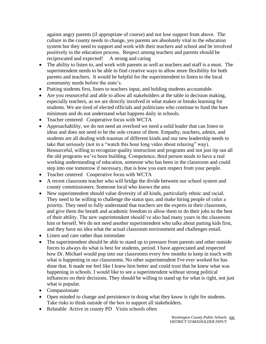against angry parents (if appropriate of course) and not lose support from above. The culture in the county needs to change, yes parents are absolutely vital to the education system but they need to support and work with their teachers and school and be involved positively in the education process. Respect among teachers and parents should be reciprocated and expected! A strong and caring

- The ability to listen to, and work with parents as well as teachers and staff is a must. The superintendent needs to be able to find creative ways to allow more flexibility for both parents and teachers. It would be helpful for the superintendent to listen to the local community needs before the state's.
- Putting students first, listen to teachers input, and holding students accountable.
- Are you resourceful and able to allow all stakeholders at the table in decision making, especially teachers, as we are directly involved in what makes or breaks learning for students. We are tired of elected officials and politicians who continue to fund the bare minimum and do not understand what happens daily in schools.
- Teacher centered Cooperative focus with WCTA
- Approachability, we do not need an overlord we need a solid leader that can listen to ideas and does not need to be the sole creator of them. Empathy, teachers, admin, and students are all dealing with traumas of different kinds and our new leadership needs to take that seriously (not in a "watch this hour long video about relaxing" way). Resourceful, willing to recognize quality instruction and programs and not just rip out all the old programs we've been building. Competence, third person needs to have a real working understanding of education, someone who has been in the classroom and could step into one tomorrow if necessary, that is how you earn respect from your people.
- Teacher centered Cooperative focus with WCTA
- A recent classroom teacher who will bridge the divide between our school system and county commissioners. Someone local who knows the area
- New superintendent should value diversity of all kinds, particularly ethnic and racial. They need to be willing to challenge the status quo, and make hiring people of color a priority. They need to fully understand that teachers are the experts in their classroom, and give them the breath and academic freedom to allow them to do their jobs to the best of their ability. The new superintendent should've also had many years in the classroom him or herself. We do not need another superintendent who talks about putting kids first, and they have no idea what the actual classroom environment and challenges entail.
- Listen and care rather than intimidate
- The superintendent should be able to stand up to pressure from parents and other outside forces to always do what is best for students, period. I have appreciated and respected how Dr. Michael would pop into our classrooms every few months to keep in touch with what is happening in our classrooms. No other superintendent I've ever worked for has done that. It made me feel like I knew him better and could trust that he knew what was happening in schools. I would like to see a superintendent without strong political influences on their decisions. They should be willing to stand up for what is right, not just what is popular.
- Compassionate
- Open minded to change and persistence in doing what they know is right for students. Take risks to think outside of the box to support all stakeholders.
- Relatable Active in county PD Visits schools often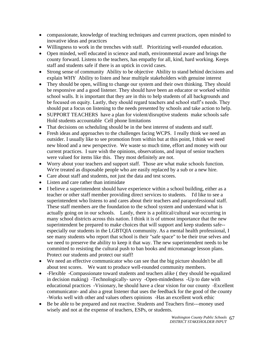- compassionate, knowledge of teaching techniques and current practices, open minded to inovative ideas and practices
- Willingness to work in the trenches with staff. Prioritizing well-rounded education.
- Open minded, well educated in science and math, environmental aware and brings the county forward. Listens to the teachers, has empathy for all, kind, hard working. Keeps staff and students safe if there is an uptick in covid cases.
- Strong sense of community Ability to be objective Ability to stand behind decisions and explain WHY Ability to listen and hear multiple stakeholders with genuine interest
- They should be open, willing to change our system and their own thinking. They should be responsive and a good listener. They should have been an educator or worked within school walls. It is important that they are in this to help students of all backgrounds and be focused on equity. Lastly, they should regard teachers and school staff's needs. They should put a focus on listening to the needs presented by schools and take action to help.
- SUPPORT TEACHERS have a plan for violent/disruptive students make schools safe Hold students accountable Cell phone limitations
- That decisions on scheduling should be in the best interest of students and staff.
- Fresh ideas and approaches to the challenges facing WCPS. I really think we need an outsider. I usually like to see promotion from within but at this point, I think we need new blood and a new perspective. We waste so much time, effort and money with our current practices. I sure wish the opinions, observations, and input of senior teachers were valued for items like this. They most definitely are not.
- Worry about your teachers and support staff. Those are what make schools function. We're treated as disposable people who are easily replaced by a sub or a new hire.
- Care about staff and students, not just the data and test scores.
- Listen and care rather than intimidate
- I believe a superintendent should have experience within a school building, either as a teacher or other staff member providing direct services to students. I'd like to see a superintendent who listens to and cares about their teachers and paraprofessional staff. These staff members are the foundation to the school system and understand what is actually going on in our schools. Lastly, there is a political/cultural war occurring in many school districts across this nation. I think it is of utmost importance that the new superintendent be prepared to make choices that will support and keep students safe- especially our students in the LGBTQIA community. As a mental health professional, I see many students who report that school is their "safe space" to be their true selves and we need to preserve the ability to keep it that way. The new superintendent needs to be committed to resisting the cultural push to ban books and micromanage lesson plans. Protect our students and protect our staff!
- We need an effective communicator who can see that the big picture shouldn't be all about test scores. We want to produce well-rounded community members.
- -Flexible -Compassionate toward students and teachers alike (they should be equalized in decision making) -Technologically- savvy -Open-mindedness -Up to date with educational practices -Visionary, he should have a clear vision for our county -Excellent communicator- and also a great listener that uses the feedback for the good of the county -Works well with other and values others opinions -Has an excellent work ethic
- Be be able to be prepared and not reactive. Students and Teachers first---money used wisely and not at the expense of teachers, ESPs, or students.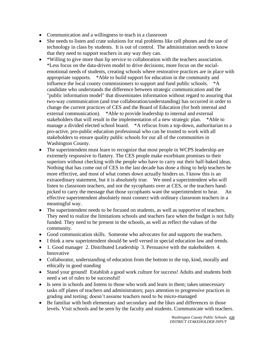- Communication and a willingness to teach in a classroom
- She needs to listen and crate solutions for real problems like cell phones and the use of technology in class by students. It is out of control. The administration needs to know that they need to support teachers in any way they can.
- \*Willing to give more than lip service to collaboration with the teachers association. \*Less focus on the data-driven model to drive decisions; more focus on the socialemotional needs of students, creating schools where restorative practices are in place with appropriate supports. \*Able to build support for education in the community and influence the local county commissioners to support and fund public schools. \*A candidate who understands the difference between strategic communication and the "public information model" that disseminates information without regard to assuring that two-way communication (and true collaboration/understanding) has occurred in order to change the current practices of CES and the Board of Education (for both internal and external communication). \*Able to provide leadership to internal and external stakeholders that will result in the implementation of a new strategic plan. \*Able to manage a divided elected school board. \*A refocus from a top-down, authoritarian to a pro-active, pro-public education professional who can be trusted to work with all stakeholders to ensure quality public schools for our all of the communities in Washington County.
- The superintendent must learn to recognize that most people in WCPS leadership are extremely responsive to flattery. The CES people make exorbitant promises to their superiors without checking with the people who have to carry out their half-baked ideas. Nothing that has come out of CES in the last decade has done a thing to help teachers be more effective, and most of what comes down actually hinders us. I know this is an extraordinary statement, but it is absolutely true. We need a superintendent who will listen to classroom teachers, and not the sycophants over at CES, or the teachers handpicked to carry the message that those sycophants want the superintendent to hear. An effective superintendent absolutely must connect with ordinary classroom teachers in a meaningful way.
- The superintendent needs to be focused on students, as well as supportive of teachers. They need to realize the limitations schools and teachers face when the budget is not fully funded. They need to be present in the schools, as well as reflect the values of the community.
- Good communication skills. Someone who advocates for and supports the teachers.
- I think a new superintendent should be well versed in special education law and trends.
- 1. Good manager 2. Distributed Leadership 3. Persuasive with the stakeholders 4. Innovative
- Collaborator, understanding of education from the bottom to the top, kind, morally and ethically in good standing
- Stand your ground! Establish a good work culture for success! Adults and students both need a set of rules to be successful!
- Is seen in schools and listens to those who work and learn in them; takes unnecessary tasks off plates of teachers and administrators; pays attention to progressive practices in grading and testing; doesn't assume teachers need to be micro-managed
- Be familiar with both elementary and secondary and the likes and differences in those levels. Visit schools and be seen by the faculty and students. Communicate with teachers.